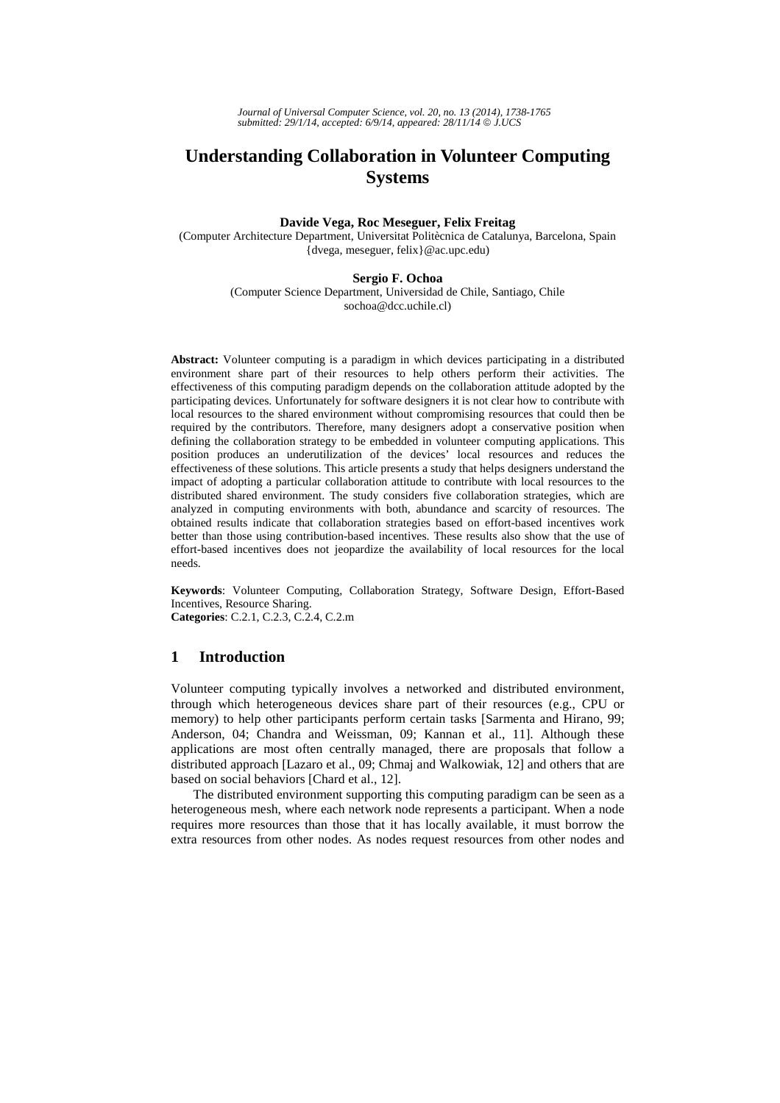*Journal of Universal Computer Science, vol. 20, no. 13 (2014), 1738-1765 submitted: 29/1/14, accepted: 6/9/14, appeared: 28/11/14* © *J.UCS*

# **Understanding Collaboration in Volunteer Computing Systems**

### **Davide Vega, Roc Meseguer, Felix Freitag**

(Computer Architecture Department, Universitat Politècnica de Catalunya, Barcelona, Spain {dvega, meseguer, felix}@ac.upc.edu)

#### **Sergio F. Ochoa**

(Computer Science Department, Universidad de Chile, Santiago, Chile sochoa@dcc.uchile.cl)

**Abstract:** Volunteer computing is a paradigm in which devices participating in a distributed environment share part of their resources to help others perform their activities. The effectiveness of this computing paradigm depends on the collaboration attitude adopted by the participating devices. Unfortunately for software designers it is not clear how to contribute with local resources to the shared environment without compromising resources that could then be required by the contributors. Therefore, many designers adopt a conservative position when defining the collaboration strategy to be embedded in volunteer computing applications. This position produces an underutilization of the devices' local resources and reduces the effectiveness of these solutions. This article presents a study that helps designers understand the impact of adopting a particular collaboration attitude to contribute with local resources to the distributed shared environment. The study considers five collaboration strategies, which are analyzed in computing environments with both, abundance and scarcity of resources. The obtained results indicate that collaboration strategies based on effort-based incentives work better than those using contribution-based incentives. These results also show that the use of effort-based incentives does not jeopardize the availability of local resources for the local needs.

**Keywords**: Volunteer Computing, Collaboration Strategy, Software Design, Effort-Based Incentives, Resource Sharing.

**Categories**: C.2.1, C.2.3, C.2.4, C.2.m

# **1 Introduction**

Volunteer computing typically involves a networked and distributed environment, through which heterogeneous devices share part of their resources (e.g., CPU or memory) to help other participants perform certain tasks [Sarmenta and Hirano, 99; Anderson, 04; Chandra and Weissman, 09; Kannan et al., 11]. Although these applications are most often centrally managed, there are proposals that follow a distributed approach [Lazaro et al., 09; Chmaj and Walkowiak, 12] and others that are based on social behaviors [Chard et al., 12].

The distributed environment supporting this computing paradigm can be seen as a heterogeneous mesh, where each network node represents a participant. When a node requires more resources than those that it has locally available, it must borrow the extra resources from other nodes. As nodes request resources from other nodes and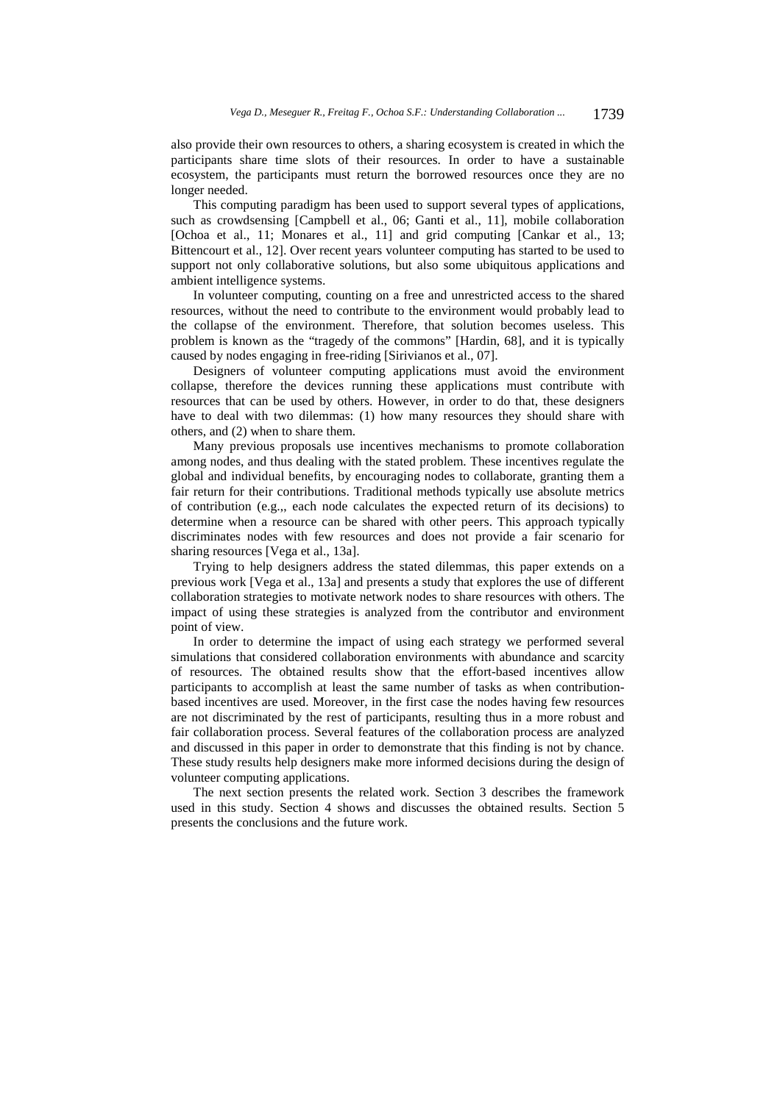also provide their own resources to others, a sharing ecosystem is created in which the participants share time slots of their resources. In order to have a sustainable ecosystem, the participants must return the borrowed resources once they are no longer needed.

This computing paradigm has been used to support several types of applications, such as crowdsensing [Campbell et al., 06; Ganti et al., 11], mobile collaboration [Ochoa et al., 11; Monares et al., 11] and grid computing [Cankar et al., 13; Bittencourt et al., 12]. Over recent years volunteer computing has started to be used to support not only collaborative solutions, but also some ubiquitous applications and ambient intelligence systems.

In volunteer computing, counting on a free and unrestricted access to the shared resources, without the need to contribute to the environment would probably lead to the collapse of the environment. Therefore, that solution becomes useless. This problem is known as the "tragedy of the commons" [Hardin, 68], and it is typically caused by nodes engaging in free-riding [Sirivianos et al., 07].

Designers of volunteer computing applications must avoid the environment collapse, therefore the devices running these applications must contribute with resources that can be used by others. However, in order to do that, these designers have to deal with two dilemmas: (1) how many resources they should share with others, and (2) when to share them.

Many previous proposals use incentives mechanisms to promote collaboration among nodes, and thus dealing with the stated problem. These incentives regulate the global and individual benefits, by encouraging nodes to collaborate, granting them a fair return for their contributions. Traditional methods typically use absolute metrics of contribution (e.g.,, each node calculates the expected return of its decisions) to determine when a resource can be shared with other peers. This approach typically discriminates nodes with few resources and does not provide a fair scenario for sharing resources [Vega et al., 13a].

Trying to help designers address the stated dilemmas, this paper extends on a previous work [Vega et al., 13a] and presents a study that explores the use of different collaboration strategies to motivate network nodes to share resources with others. The impact of using these strategies is analyzed from the contributor and environment point of view.

In order to determine the impact of using each strategy we performed several simulations that considered collaboration environments with abundance and scarcity of resources. The obtained results show that the effort-based incentives allow participants to accomplish at least the same number of tasks as when contributionbased incentives are used. Moreover, in the first case the nodes having few resources are not discriminated by the rest of participants, resulting thus in a more robust and fair collaboration process. Several features of the collaboration process are analyzed and discussed in this paper in order to demonstrate that this finding is not by chance. These study results help designers make more informed decisions during the design of volunteer computing applications.

The next section presents the related work. Section 3 describes the framework used in this study. Section 4 shows and discusses the obtained results. Section 5 presents the conclusions and the future work.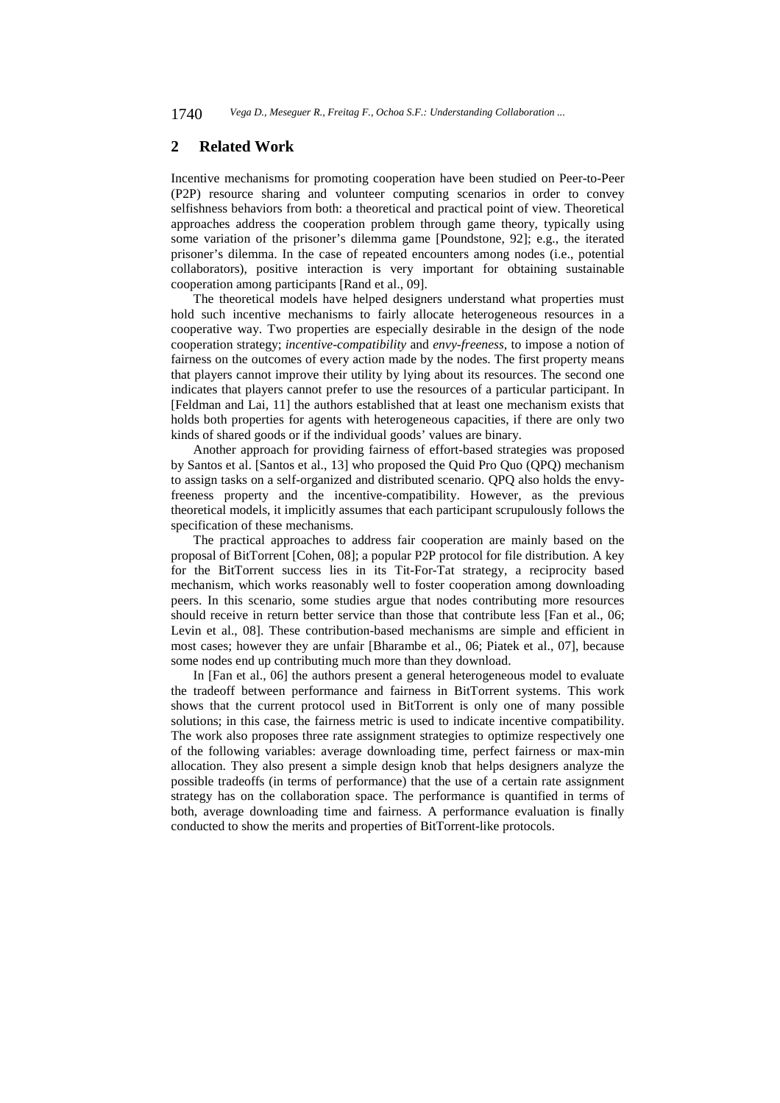# **2 Related Work**

Incentive mechanisms for promoting cooperation have been studied on Peer-to-Peer (P2P) resource sharing and volunteer computing scenarios in order to convey selfishness behaviors from both: a theoretical and practical point of view. Theoretical approaches address the cooperation problem through game theory, typically using some variation of the prisoner's dilemma game [Poundstone, 92]; e.g., the iterated prisoner's dilemma. In the case of repeated encounters among nodes (i.e., potential collaborators), positive interaction is very important for obtaining sustainable cooperation among participants [Rand et al., 09].

The theoretical models have helped designers understand what properties must hold such incentive mechanisms to fairly allocate heterogeneous resources in a cooperative way. Two properties are especially desirable in the design of the node cooperation strategy; *incentive-compatibility* and *envy-freeness,* to impose a notion of fairness on the outcomes of every action made by the nodes. The first property means that players cannot improve their utility by lying about its resources. The second one indicates that players cannot prefer to use the resources of a particular participant. In [Feldman and Lai, 11] the authors established that at least one mechanism exists that holds both properties for agents with heterogeneous capacities, if there are only two kinds of shared goods or if the individual goods' values are binary.

Another approach for providing fairness of effort-based strategies was proposed by Santos et al. [Santos et al., 13] who proposed the Quid Pro Quo (QPQ) mechanism to assign tasks on a self-organized and distributed scenario. QPQ also holds the envyfreeness property and the incentive-compatibility. However, as the previous theoretical models, it implicitly assumes that each participant scrupulously follows the specification of these mechanisms.

The practical approaches to address fair cooperation are mainly based on the proposal of BitTorrent [Cohen, 08]; a popular P2P protocol for file distribution. A key for the BitTorrent success lies in its Tit-For-Tat strategy, a reciprocity based mechanism, which works reasonably well to foster cooperation among downloading peers. In this scenario, some studies argue that nodes contributing more resources should receive in return better service than those that contribute less [Fan et al., 06; Levin et al., 08]. These contribution-based mechanisms are simple and efficient in most cases; however they are unfair [Bharambe et al., 06; Piatek et al., 07], because some nodes end up contributing much more than they download.

In [Fan et al., 06] the authors present a general heterogeneous model to evaluate the tradeoff between performance and fairness in BitTorrent systems. This work shows that the current protocol used in BitTorrent is only one of many possible solutions; in this case, the fairness metric is used to indicate incentive compatibility. The work also proposes three rate assignment strategies to optimize respectively one of the following variables: average downloading time, perfect fairness or max-min allocation. They also present a simple design knob that helps designers analyze the possible tradeoffs (in terms of performance) that the use of a certain rate assignment strategy has on the collaboration space. The performance is quantified in terms of both, average downloading time and fairness. A performance evaluation is finally conducted to show the merits and properties of BitTorrent-like protocols.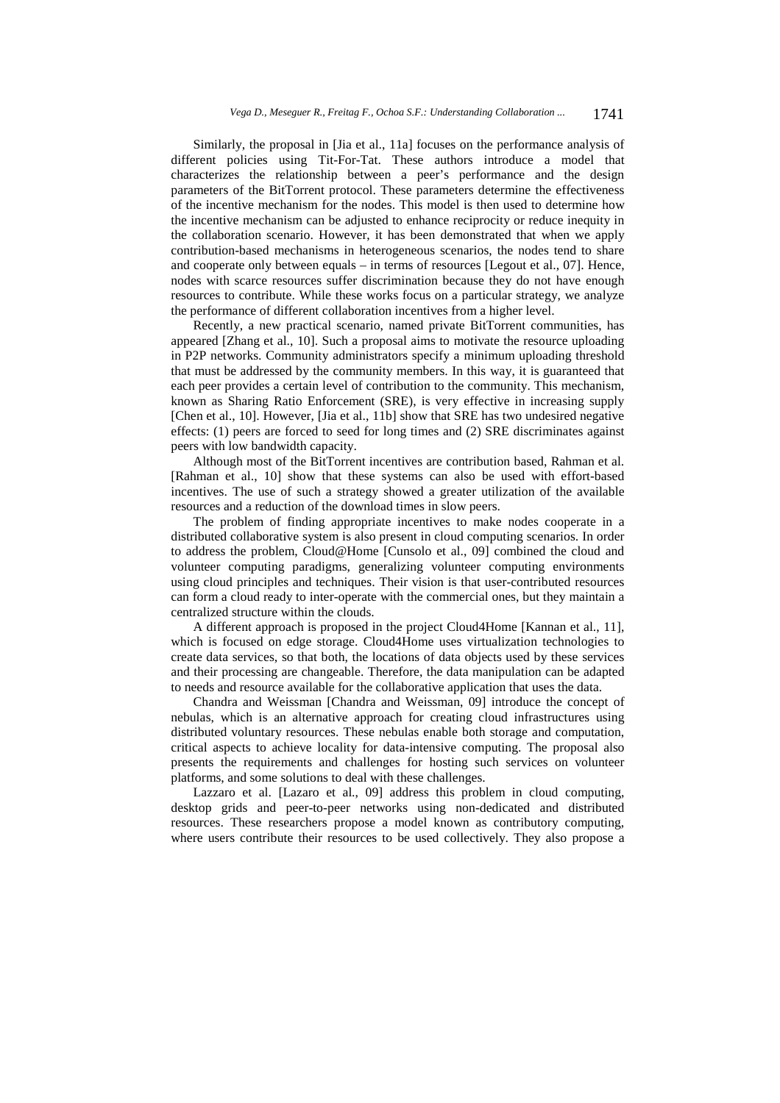Similarly, the proposal in [Jia et al., 11a] focuses on the performance analysis of different policies using Tit-For-Tat. These authors introduce a model that characterizes the relationship between a peer's performance and the design parameters of the BitTorrent protocol. These parameters determine the effectiveness of the incentive mechanism for the nodes. This model is then used to determine how the incentive mechanism can be adjusted to enhance reciprocity or reduce inequity in the collaboration scenario. However, it has been demonstrated that when we apply contribution-based mechanisms in heterogeneous scenarios, the nodes tend to share and cooperate only between equals – in terms of resources [Legout et al., 07]. Hence, nodes with scarce resources suffer discrimination because they do not have enough resources to contribute. While these works focus on a particular strategy, we analyze the performance of different collaboration incentives from a higher level.

Recently, a new practical scenario, named private BitTorrent communities, has appeared [Zhang et al., 10]. Such a proposal aims to motivate the resource uploading in P2P networks. Community administrators specify a minimum uploading threshold that must be addressed by the community members. In this way, it is guaranteed that each peer provides a certain level of contribution to the community. This mechanism, known as Sharing Ratio Enforcement (SRE), is very effective in increasing supply [Chen et al., 10]. However, [Jia et al., 11b] show that SRE has two undesired negative effects: (1) peers are forced to seed for long times and (2) SRE discriminates against peers with low bandwidth capacity.

Although most of the BitTorrent incentives are contribution based, Rahman et al. [Rahman et al., 10] show that these systems can also be used with effort-based incentives. The use of such a strategy showed a greater utilization of the available resources and a reduction of the download times in slow peers.

The problem of finding appropriate incentives to make nodes cooperate in a distributed collaborative system is also present in cloud computing scenarios. In order to address the problem, Cloud@Home [Cunsolo et al., 09] combined the cloud and volunteer computing paradigms, generalizing volunteer computing environments using cloud principles and techniques. Their vision is that user-contributed resources can form a cloud ready to inter-operate with the commercial ones, but they maintain a centralized structure within the clouds.

A different approach is proposed in the project Cloud4Home [Kannan et al., 11], which is focused on edge storage. Cloud4Home uses virtualization technologies to create data services, so that both, the locations of data objects used by these services and their processing are changeable. Therefore, the data manipulation can be adapted to needs and resource available for the collaborative application that uses the data.

Chandra and Weissman [Chandra and Weissman, 09] introduce the concept of nebulas, which is an alternative approach for creating cloud infrastructures using distributed voluntary resources. These nebulas enable both storage and computation, critical aspects to achieve locality for data-intensive computing. The proposal also presents the requirements and challenges for hosting such services on volunteer platforms, and some solutions to deal with these challenges.

Lazzaro et al. [Lazaro et al., 09] address this problem in cloud computing, desktop grids and peer-to-peer networks using non-dedicated and distributed resources. These researchers propose a model known as contributory computing, where users contribute their resources to be used collectively. They also propose a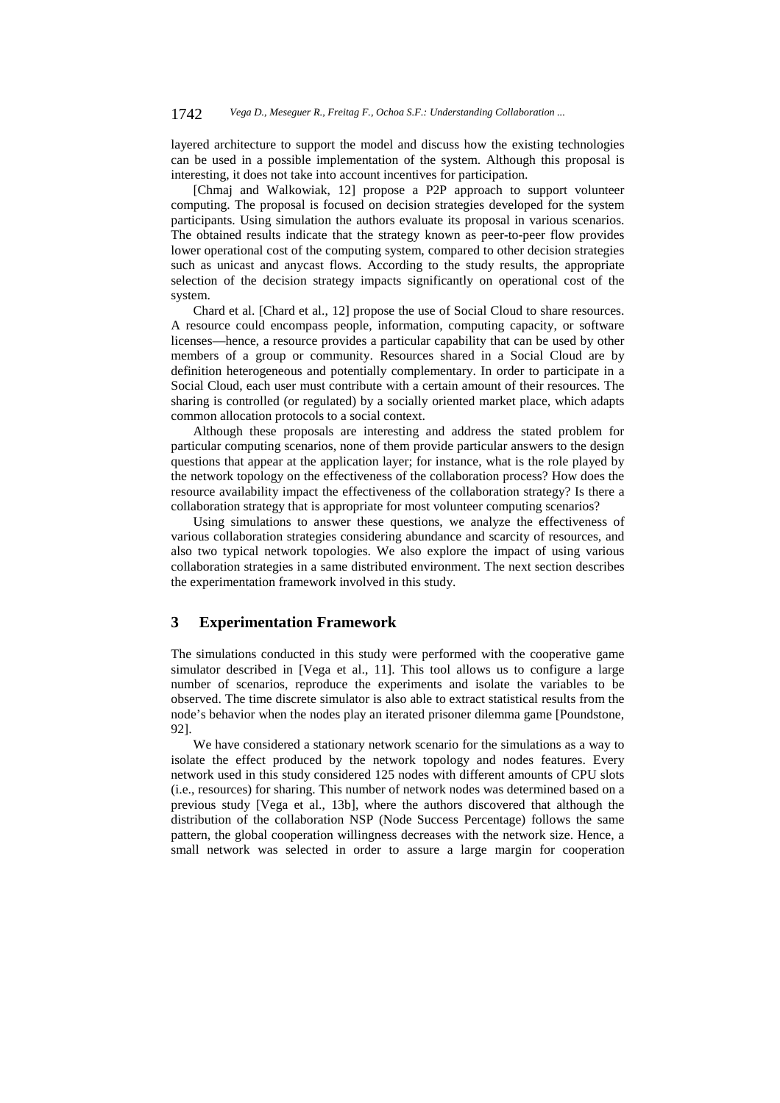layered architecture to support the model and discuss how the existing technologies can be used in a possible implementation of the system. Although this proposal is interesting, it does not take into account incentives for participation.

[Chmaj and Walkowiak, 12] propose a P2P approach to support volunteer computing. The proposal is focused on decision strategies developed for the system participants. Using simulation the authors evaluate its proposal in various scenarios. The obtained results indicate that the strategy known as peer-to-peer flow provides lower operational cost of the computing system, compared to other decision strategies such as unicast and anycast flows. According to the study results, the appropriate selection of the decision strategy impacts significantly on operational cost of the system.

Chard et al. [Chard et al., 12] propose the use of Social Cloud to share resources. A resource could encompass people, information, computing capacity, or software licenses—hence, a resource provides a particular capability that can be used by other members of a group or community. Resources shared in a Social Cloud are by definition heterogeneous and potentially complementary. In order to participate in a Social Cloud, each user must contribute with a certain amount of their resources. The sharing is controlled (or regulated) by a socially oriented market place, which adapts common allocation protocols to a social context.

Although these proposals are interesting and address the stated problem for particular computing scenarios, none of them provide particular answers to the design questions that appear at the application layer; for instance, what is the role played by the network topology on the effectiveness of the collaboration process? How does the resource availability impact the effectiveness of the collaboration strategy? Is there a collaboration strategy that is appropriate for most volunteer computing scenarios?

Using simulations to answer these questions, we analyze the effectiveness of various collaboration strategies considering abundance and scarcity of resources, and also two typical network topologies. We also explore the impact of using various collaboration strategies in a same distributed environment. The next section describes the experimentation framework involved in this study.

# **3 Experimentation Framework**

The simulations conducted in this study were performed with the cooperative game simulator described in [Vega et al., 11]. This tool allows us to configure a large number of scenarios, reproduce the experiments and isolate the variables to be observed. The time discrete simulator is also able to extract statistical results from the node's behavior when the nodes play an iterated prisoner dilemma game [Poundstone, 92].

We have considered a stationary network scenario for the simulations as a way to isolate the effect produced by the network topology and nodes features. Every network used in this study considered 125 nodes with different amounts of CPU slots (i.e., resources) for sharing. This number of network nodes was determined based on a previous study [Vega et al., 13b], where the authors discovered that although the distribution of the collaboration NSP (Node Success Percentage) follows the same pattern, the global cooperation willingness decreases with the network size. Hence, a small network was selected in order to assure a large margin for cooperation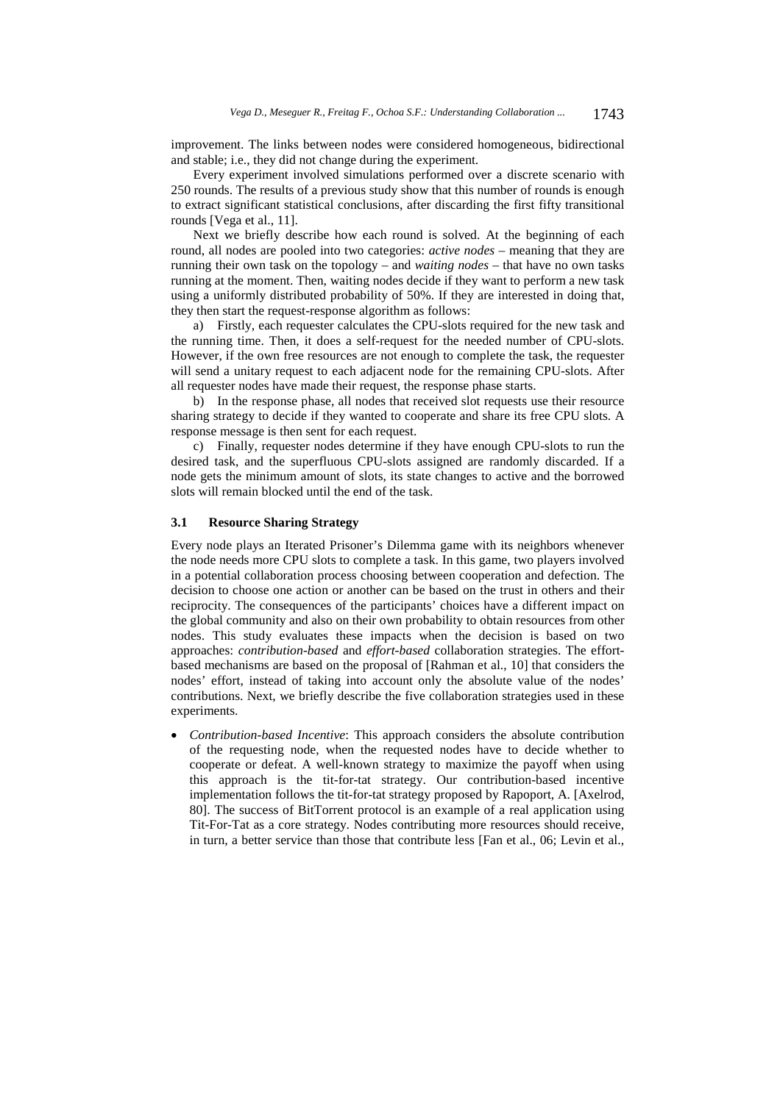improvement. The links between nodes were considered homogeneous, bidirectional and stable; i.e., they did not change during the experiment.

Every experiment involved simulations performed over a discrete scenario with 250 rounds. The results of a previous study show that this number of rounds is enough to extract significant statistical conclusions, after discarding the first fifty transitional rounds [Vega et al., 11].

Next we briefly describe how each round is solved. At the beginning of each round, all nodes are pooled into two categories: *active nodes* – meaning that they are running their own task on the topology – and *waiting nodes* – that have no own tasks running at the moment. Then, waiting nodes decide if they want to perform a new task using a uniformly distributed probability of 50%. If they are interested in doing that, they then start the request-response algorithm as follows:

a) Firstly, each requester calculates the CPU-slots required for the new task and the running time. Then, it does a self-request for the needed number of CPU-slots. However, if the own free resources are not enough to complete the task, the requester will send a unitary request to each adjacent node for the remaining CPU-slots. After all requester nodes have made their request, the response phase starts.

b) In the response phase, all nodes that received slot requests use their resource sharing strategy to decide if they wanted to cooperate and share its free CPU slots. A response message is then sent for each request.

c) Finally, requester nodes determine if they have enough CPU-slots to run the desired task, and the superfluous CPU-slots assigned are randomly discarded. If a node gets the minimum amount of slots, its state changes to active and the borrowed slots will remain blocked until the end of the task.

### **3.1 Resource Sharing Strategy**

Every node plays an Iterated Prisoner's Dilemma game with its neighbors whenever the node needs more CPU slots to complete a task. In this game, two players involved in a potential collaboration process choosing between cooperation and defection. The decision to choose one action or another can be based on the trust in others and their reciprocity. The consequences of the participants' choices have a different impact on the global community and also on their own probability to obtain resources from other nodes. This study evaluates these impacts when the decision is based on two approaches: *contribution-based* and *effort-based* collaboration strategies. The effortbased mechanisms are based on the proposal of [Rahman et al., 10] that considers the nodes' effort, instead of taking into account only the absolute value of the nodes' contributions. Next, we briefly describe the five collaboration strategies used in these experiments.

 *Contribution-based Incentive*: This approach considers the absolute contribution of the requesting node, when the requested nodes have to decide whether to cooperate or defeat. A well-known strategy to maximize the payoff when using this approach is the tit-for-tat strategy. Our contribution-based incentive implementation follows the tit-for-tat strategy proposed by Rapoport, A. [Axelrod, 80]. The success of BitTorrent protocol is an example of a real application using Tit-For-Tat as a core strategy. Nodes contributing more resources should receive, in turn, a better service than those that contribute less [Fan et al., 06; Levin et al.,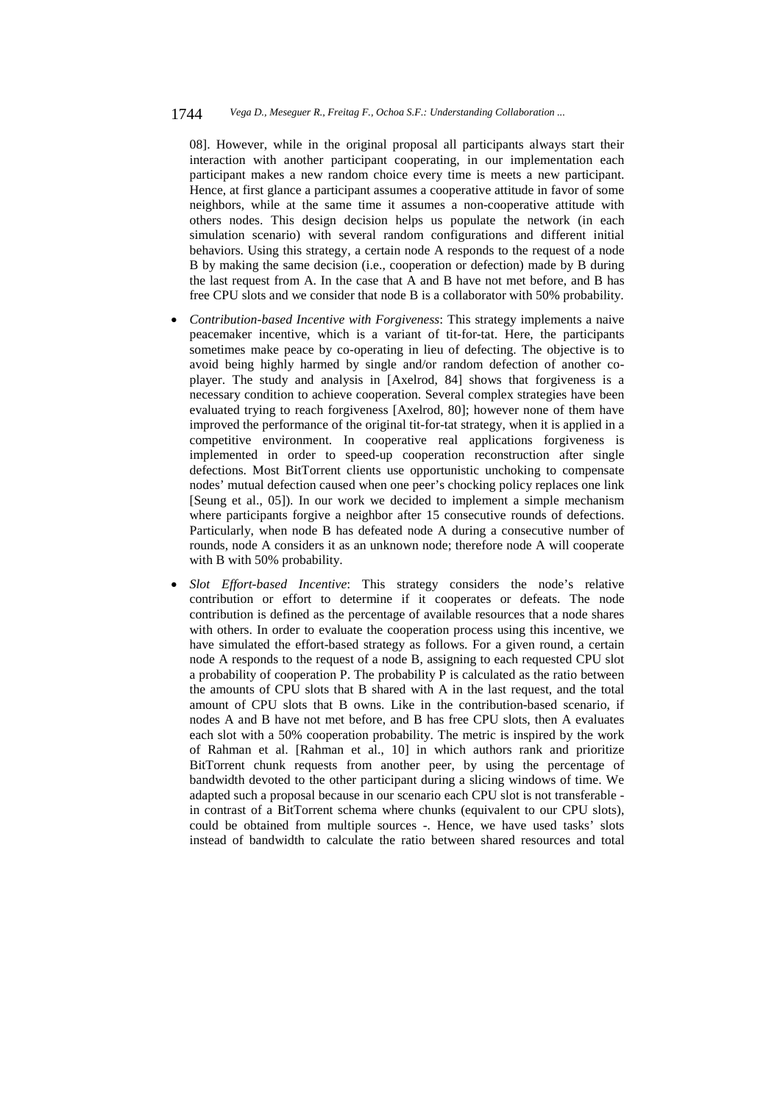#### 1744 *Vega D., Meseguer R., Freitag F., Ochoa S.F.: Understanding Collaboration ...*

08]. However, while in the original proposal all participants always start their interaction with another participant cooperating, in our implementation each participant makes a new random choice every time is meets a new participant. Hence, at first glance a participant assumes a cooperative attitude in favor of some neighbors, while at the same time it assumes a non-cooperative attitude with others nodes. This design decision helps us populate the network (in each simulation scenario) with several random configurations and different initial behaviors. Using this strategy, a certain node A responds to the request of a node B by making the same decision (i.e., cooperation or defection) made by B during the last request from A. In the case that A and B have not met before, and B has free CPU slots and we consider that node B is a collaborator with 50% probability.

- *Contribution-based Incentive with Forgiveness*: This strategy implements a naive peacemaker incentive, which is a variant of tit-for-tat. Here, the participants sometimes make peace by co-operating in lieu of defecting. The objective is to avoid being highly harmed by single and/or random defection of another coplayer. The study and analysis in [Axelrod, 84] shows that forgiveness is a necessary condition to achieve cooperation. Several complex strategies have been evaluated trying to reach forgiveness [Axelrod, 80]; however none of them have improved the performance of the original tit-for-tat strategy, when it is applied in a competitive environment. In cooperative real applications forgiveness is implemented in order to speed-up cooperation reconstruction after single defections. Most BitTorrent clients use opportunistic unchoking to compensate nodes' mutual defection caused when one peer's chocking policy replaces one link [Seung et al., 05]). In our work we decided to implement a simple mechanism where participants forgive a neighbor after 15 consecutive rounds of defections. Particularly, when node B has defeated node A during a consecutive number of rounds, node A considers it as an unknown node; therefore node A will cooperate with B with 50% probability.
- *Slot Effort-based Incentive*: This strategy considers the node's relative contribution or effort to determine if it cooperates or defeats. The node contribution is defined as the percentage of available resources that a node shares with others. In order to evaluate the cooperation process using this incentive, we have simulated the effort-based strategy as follows. For a given round, a certain node A responds to the request of a node B, assigning to each requested CPU slot a probability of cooperation P. The probability P is calculated as the ratio between the amounts of CPU slots that B shared with A in the last request, and the total amount of CPU slots that B owns. Like in the contribution-based scenario, if nodes A and B have not met before, and B has free CPU slots, then A evaluates each slot with a 50% cooperation probability. The metric is inspired by the work of Rahman et al. [Rahman et al., 10] in which authors rank and prioritize BitTorrent chunk requests from another peer, by using the percentage of bandwidth devoted to the other participant during a slicing windows of time. We adapted such a proposal because in our scenario each CPU slot is not transferable in contrast of a BitTorrent schema where chunks (equivalent to our CPU slots), could be obtained from multiple sources -. Hence, we have used tasks' slots instead of bandwidth to calculate the ratio between shared resources and total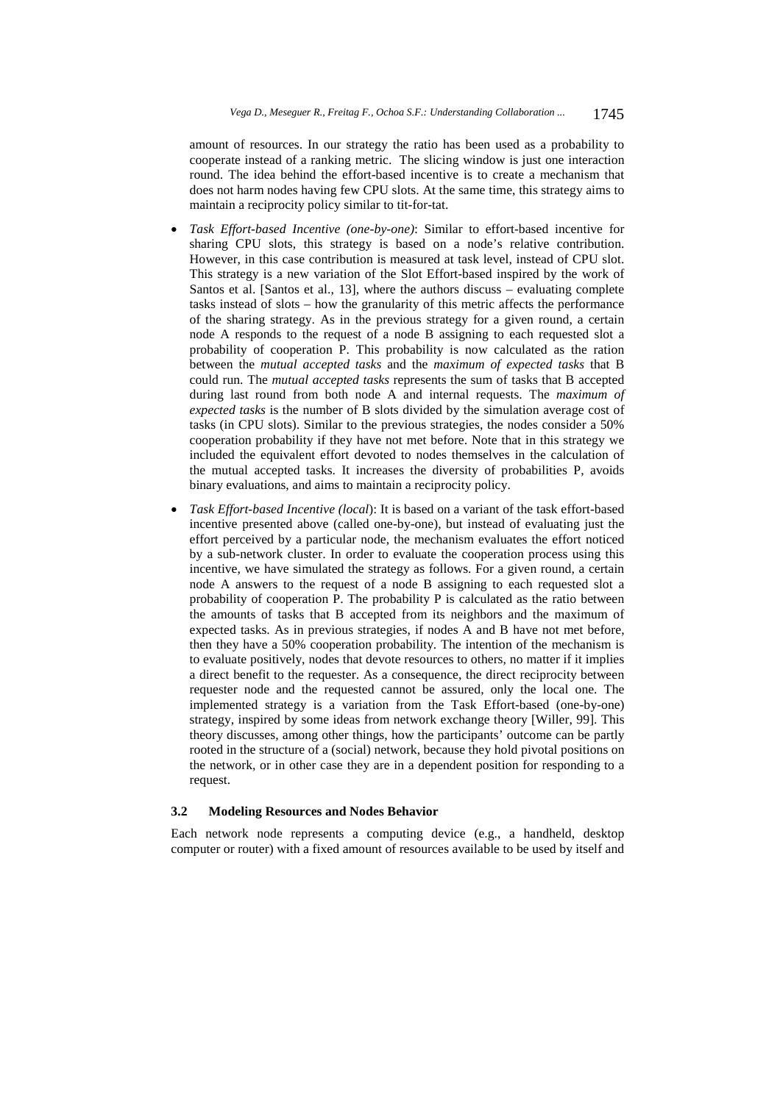amount of resources. In our strategy the ratio has been used as a probability to cooperate instead of a ranking metric. The slicing window is just one interaction round. The idea behind the effort-based incentive is to create a mechanism that does not harm nodes having few CPU slots. At the same time, this strategy aims to maintain a reciprocity policy similar to tit-for-tat.

- *Task Effort-based Incentive (one-by-one)*: Similar to effort-based incentive for sharing CPU slots, this strategy is based on a node's relative contribution. However, in this case contribution is measured at task level, instead of CPU slot. This strategy is a new variation of the Slot Effort-based inspired by the work of Santos et al. [Santos et al., 13], where the authors discuss – evaluating complete tasks instead of slots – how the granularity of this metric affects the performance of the sharing strategy. As in the previous strategy for a given round, a certain node A responds to the request of a node B assigning to each requested slot a probability of cooperation P. This probability is now calculated as the ration between the *mutual accepted tasks* and the *maximum of expected tasks* that B could run. The *mutual accepted tasks* represents the sum of tasks that B accepted during last round from both node A and internal requests. The *maximum of expected tasks* is the number of B slots divided by the simulation average cost of tasks (in CPU slots). Similar to the previous strategies, the nodes consider a 50% cooperation probability if they have not met before. Note that in this strategy we included the equivalent effort devoted to nodes themselves in the calculation of the mutual accepted tasks. It increases the diversity of probabilities P, avoids binary evaluations, and aims to maintain a reciprocity policy.
- *Task Effort-based Incentive (local*): It is based on a variant of the task effort-based incentive presented above (called one-by-one), but instead of evaluating just the effort perceived by a particular node, the mechanism evaluates the effort noticed by a sub-network cluster. In order to evaluate the cooperation process using this incentive, we have simulated the strategy as follows. For a given round, a certain node A answers to the request of a node B assigning to each requested slot a probability of cooperation P. The probability P is calculated as the ratio between the amounts of tasks that B accepted from its neighbors and the maximum of expected tasks. As in previous strategies, if nodes A and B have not met before, then they have a 50% cooperation probability. The intention of the mechanism is to evaluate positively, nodes that devote resources to others, no matter if it implies a direct benefit to the requester. As a consequence, the direct reciprocity between requester node and the requested cannot be assured, only the local one. The implemented strategy is a variation from the Task Effort-based (one-by-one) strategy, inspired by some ideas from network exchange theory [Willer, 99]. This theory discusses, among other things, how the participants' outcome can be partly rooted in the structure of a (social) network, because they hold pivotal positions on the network, or in other case they are in a dependent position for responding to a request.

# **3.2 Modeling Resources and Nodes Behavior**

Each network node represents a computing device (e.g., a handheld, desktop computer or router) with a fixed amount of resources available to be used by itself and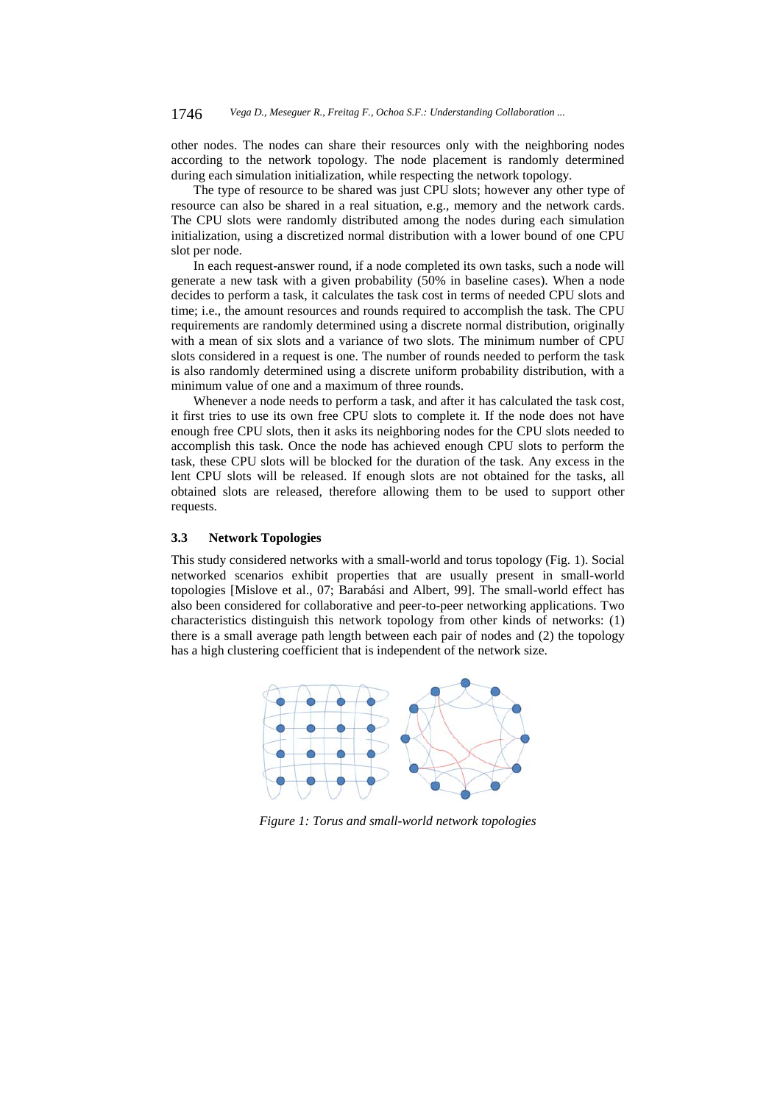other nodes. The nodes can share their resources only with the neighboring nodes according to the network topology. The node placement is randomly determined during each simulation initialization, while respecting the network topology.

The type of resource to be shared was just CPU slots; however any other type of resource can also be shared in a real situation, e.g., memory and the network cards. The CPU slots were randomly distributed among the nodes during each simulation initialization, using a discretized normal distribution with a lower bound of one CPU slot per node.

In each request-answer round, if a node completed its own tasks, such a node will generate a new task with a given probability (50% in baseline cases). When a node decides to perform a task, it calculates the task cost in terms of needed CPU slots and time; i.e., the amount resources and rounds required to accomplish the task. The CPU requirements are randomly determined using a discrete normal distribution, originally with a mean of six slots and a variance of two slots. The minimum number of CPU slots considered in a request is one. The number of rounds needed to perform the task is also randomly determined using a discrete uniform probability distribution, with a minimum value of one and a maximum of three rounds.

Whenever a node needs to perform a task, and after it has calculated the task cost, it first tries to use its own free CPU slots to complete it. If the node does not have enough free CPU slots, then it asks its neighboring nodes for the CPU slots needed to accomplish this task. Once the node has achieved enough CPU slots to perform the task, these CPU slots will be blocked for the duration of the task. Any excess in the lent CPU slots will be released. If enough slots are not obtained for the tasks, all obtained slots are released, therefore allowing them to be used to support other requests.

# **3.3 Network Topologies**

This study considered networks with a small-world and torus topology (Fig. 1). Social networked scenarios exhibit properties that are usually present in small-world topologies [Mislove et al., 07; Barabási and Albert, 99]. The small-world effect has also been considered for collaborative and peer-to-peer networking applications. Two characteristics distinguish this network topology from other kinds of networks: (1) there is a small average path length between each pair of nodes and (2) the topology has a high clustering coefficient that is independent of the network size.



*Figure 1: Torus and small-world network topologies*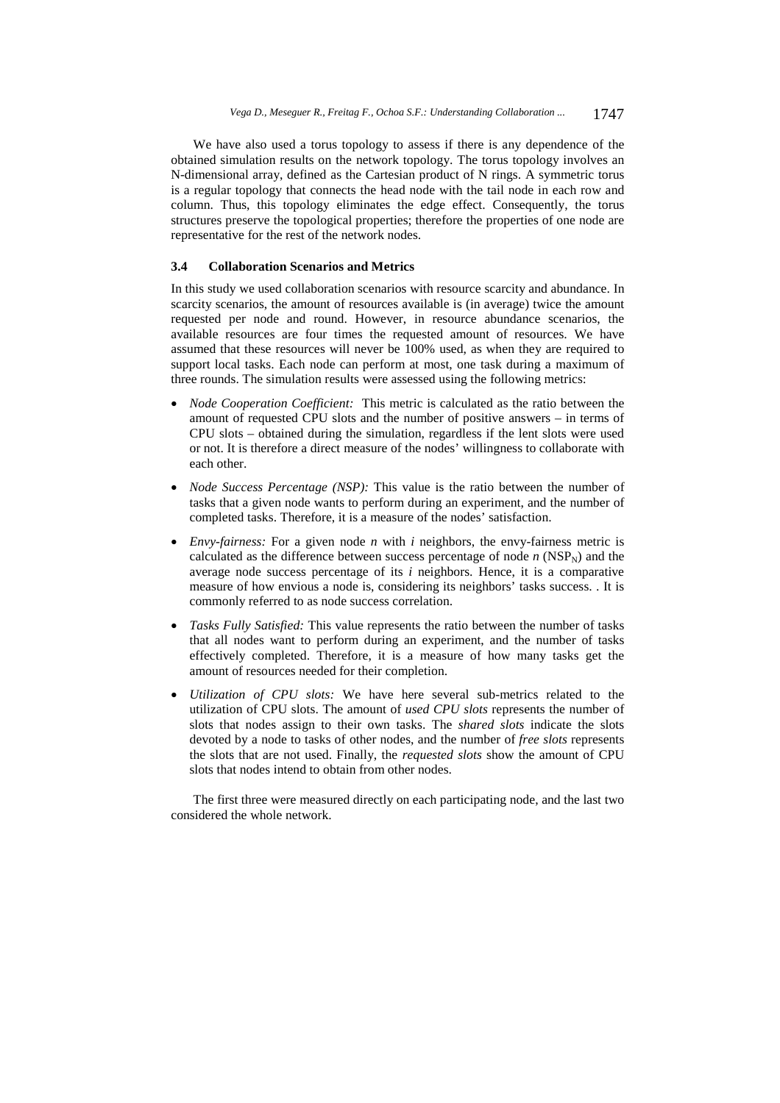We have also used a torus topology to assess if there is any dependence of the obtained simulation results on the network topology. The torus topology involves an N-dimensional array, defined as the Cartesian product of N rings. A symmetric torus is a regular topology that connects the head node with the tail node in each row and column. Thus, this topology eliminates the edge effect. Consequently, the torus structures preserve the topological properties; therefore the properties of one node are representative for the rest of the network nodes.

# **3.4 Collaboration Scenarios and Metrics**

In this study we used collaboration scenarios with resource scarcity and abundance. In scarcity scenarios, the amount of resources available is (in average) twice the amount requested per node and round. However, in resource abundance scenarios, the available resources are four times the requested amount of resources. We have assumed that these resources will never be 100% used, as when they are required to support local tasks. Each node can perform at most, one task during a maximum of three rounds. The simulation results were assessed using the following metrics:

- *Node Cooperation Coefficient:* This metric is calculated as the ratio between the amount of requested CPU slots and the number of positive answers – in terms of CPU slots – obtained during the simulation, regardless if the lent slots were used or not. It is therefore a direct measure of the nodes' willingness to collaborate with each other.
- *Node Success Percentage (NSP):* This value is the ratio between the number of tasks that a given node wants to perform during an experiment, and the number of completed tasks. Therefore, it is a measure of the nodes' satisfaction.
- *Envy-fairness:* For a given node *n* with *i* neighbors, the envy-fairness metric is calculated as the difference between success percentage of node  $n$  (NSP<sub>N</sub>) and the average node success percentage of its *i* neighbors. Hence, it is a comparative measure of how envious a node is, considering its neighbors' tasks success. . It is commonly referred to as node success correlation.
- *Tasks Fully Satisfied:* This value represents the ratio between the number of tasks that all nodes want to perform during an experiment, and the number of tasks effectively completed. Therefore, it is a measure of how many tasks get the amount of resources needed for their completion.
- *Utilization of CPU slots:* We have here several sub-metrics related to the utilization of CPU slots. The amount of *used CPU slots* represents the number of slots that nodes assign to their own tasks. The *shared slots* indicate the slots devoted by a node to tasks of other nodes, and the number of *free slots* represents the slots that are not used. Finally, the *requested slots* show the amount of CPU slots that nodes intend to obtain from other nodes.

The first three were measured directly on each participating node, and the last two considered the whole network.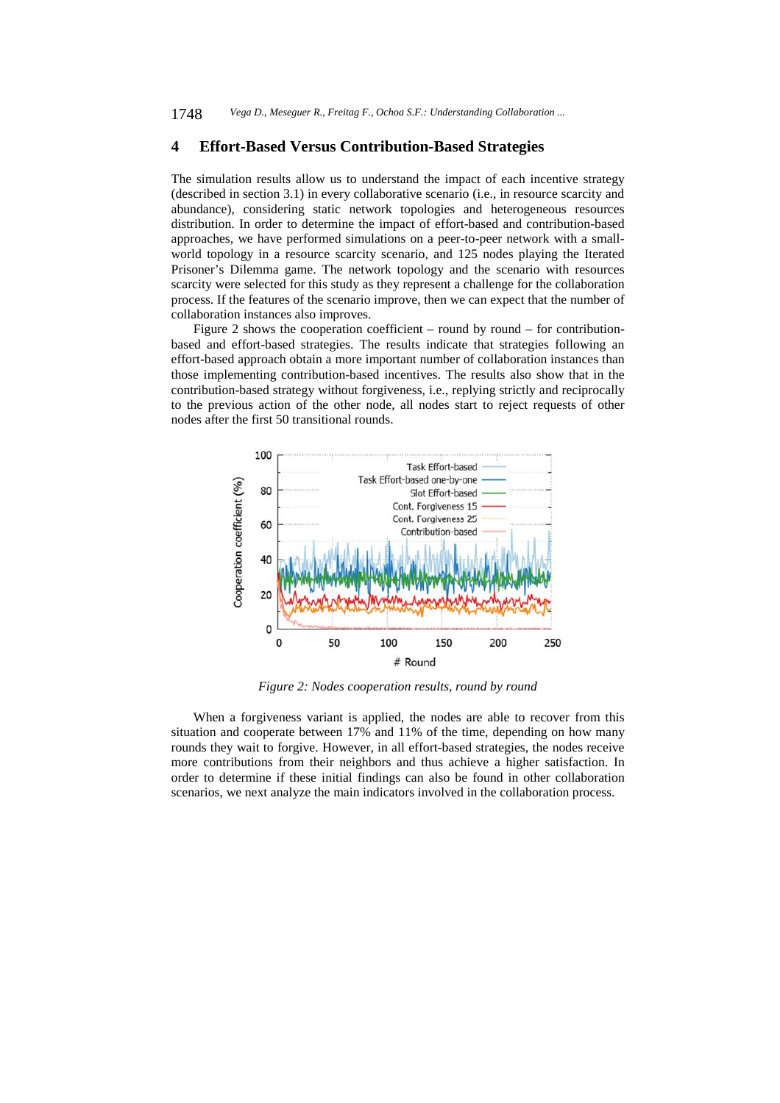# **4 Effort-Based Versus Contribution-Based Strategies**

The simulation results allow us to understand the impact of each incentive strategy (described in section 3.1) in every collaborative scenario (i.e., in resource scarcity and abundance), considering static network topologies and heterogeneous resources distribution. In order to determine the impact of effort-based and contribution-based approaches, we have performed simulations on a peer-to-peer network with a smallworld topology in a resource scarcity scenario, and 125 nodes playing the Iterated Prisoner's Dilemma game. The network topology and the scenario with resources scarcity were selected for this study as they represent a challenge for the collaboration process. If the features of the scenario improve, then we can expect that the number of collaboration instances also improves.

Figure 2 shows the cooperation coefficient – round by round – for contributionbased and effort-based strategies. The results indicate that strategies following an effort-based approach obtain a more important number of collaboration instances than those implementing contribution-based incentives. The results also show that in the contribution-based strategy without forgiveness, i.e., replying strictly and reciprocally to the previous action of the other node, all nodes start to reject requests of other nodes after the first 50 transitional rounds.



*Figure 2: Nodes cooperation results, round by round* 

When a forgiveness variant is applied, the nodes are able to recover from this situation and cooperate between 17% and 11% of the time, depending on how many rounds they wait to forgive. However, in all effort-based strategies, the nodes receive more contributions from their neighbors and thus achieve a higher satisfaction. In order to determine if these initial findings can also be found in other collaboration scenarios, we next analyze the main indicators involved in the collaboration process.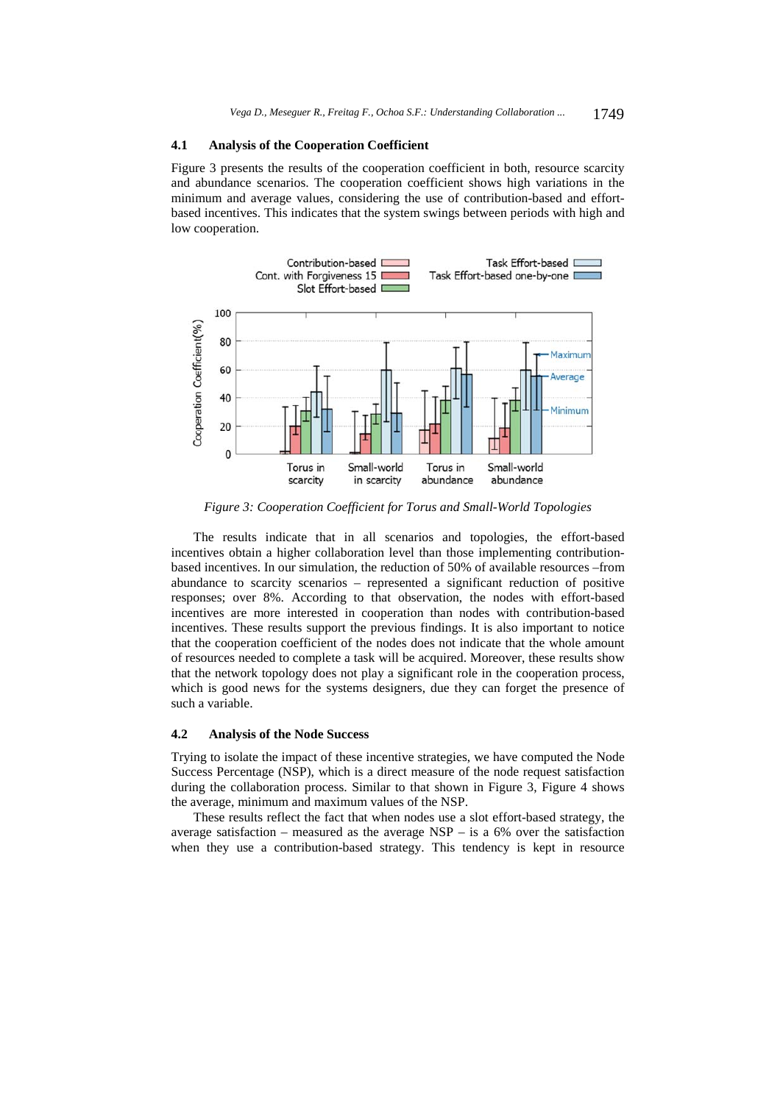### **4.1 Analysis of the Cooperation Coefficient**

Figure 3 presents the results of the cooperation coefficient in both, resource scarcity and abundance scenarios. The cooperation coefficient shows high variations in the minimum and average values, considering the use of contribution-based and effortbased incentives. This indicates that the system swings between periods with high and low cooperation.



*Figure 3: Cooperation Coefficient for Torus and Small-World Topologies* 

The results indicate that in all scenarios and topologies, the effort-based incentives obtain a higher collaboration level than those implementing contributionbased incentives. In our simulation, the reduction of 50% of available resources –from abundance to scarcity scenarios – represented a significant reduction of positive responses; over 8%. According to that observation, the nodes with effort-based incentives are more interested in cooperation than nodes with contribution-based incentives. These results support the previous findings. It is also important to notice that the cooperation coefficient of the nodes does not indicate that the whole amount of resources needed to complete a task will be acquired. Moreover, these results show that the network topology does not play a significant role in the cooperation process, which is good news for the systems designers, due they can forget the presence of such a variable.

#### **4.2 Analysis of the Node Success**

Trying to isolate the impact of these incentive strategies, we have computed the Node Success Percentage (NSP), which is a direct measure of the node request satisfaction during the collaboration process. Similar to that shown in Figure 3, Figure 4 shows the average, minimum and maximum values of the NSP.

These results reflect the fact that when nodes use a slot effort-based strategy, the average satisfaction – measured as the average  $NSP -$  is a 6% over the satisfaction when they use a contribution-based strategy. This tendency is kept in resource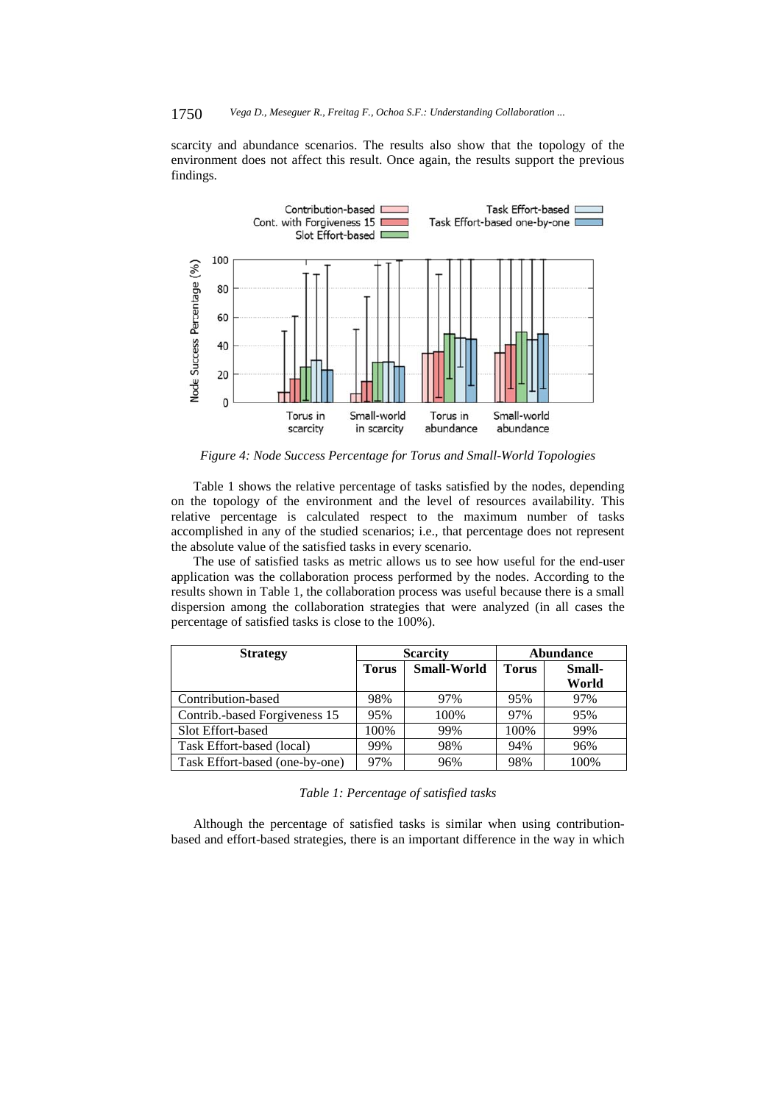### 1750 *Vega D., Meseguer R., Freitag F., Ochoa S.F.: Understanding Collaboration ...*

scarcity and abundance scenarios. The results also show that the topology of the environment does not affect this result. Once again, the results support the previous findings.



*Figure 4: Node Success Percentage for Torus and Small-World Topologies* 

Table 1 shows the relative percentage of tasks satisfied by the nodes, depending on the topology of the environment and the level of resources availability. This relative percentage is calculated respect to the maximum number of tasks accomplished in any of the studied scenarios; i.e., that percentage does not represent the absolute value of the satisfied tasks in every scenario.

The use of satisfied tasks as metric allows us to see how useful for the end-user application was the collaboration process performed by the nodes. According to the results shown in Table 1, the collaboration process was useful because there is a small dispersion among the collaboration strategies that were analyzed (in all cases the percentage of satisfied tasks is close to the 100%).

| <b>Strategy</b>                |              | <b>Scarcity</b>    | <b>Abundance</b> |        |  |
|--------------------------------|--------------|--------------------|------------------|--------|--|
|                                | <b>Torus</b> | <b>Small-World</b> | <b>Torus</b>     | Small- |  |
|                                |              |                    |                  | World  |  |
| Contribution-based             | 98%          | 97%                | 95%              | 97%    |  |
| Contrib.-based Forgiveness 15  | 95%          | 100%               | 97%              | 95%    |  |
| Slot Effort-based              | 100%         | 99%                | 100%             | 99%    |  |
| Task Effort-based (local)      | 99%          | 98%                | 94%              | 96%    |  |
| Task Effort-based (one-by-one) | 97%          | 96%                | 98%              | 100%   |  |

| Table 1: Percentage of satisfied tasks |  |
|----------------------------------------|--|
|----------------------------------------|--|

Although the percentage of satisfied tasks is similar when using contributionbased and effort-based strategies, there is an important difference in the way in which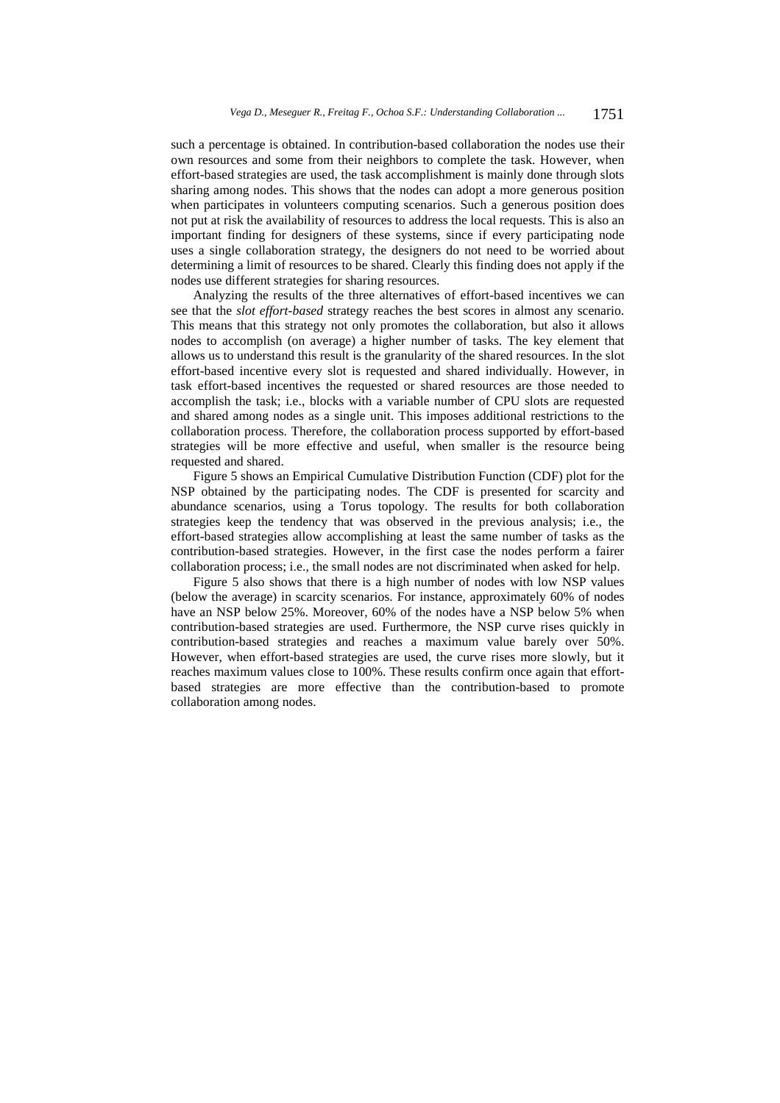such a percentage is obtained. In contribution-based collaboration the nodes use their own resources and some from their neighbors to complete the task. However, when effort-based strategies are used, the task accomplishment is mainly done through slots sharing among nodes. This shows that the nodes can adopt a more generous position when participates in volunteers computing scenarios. Such a generous position does not put at risk the availability of resources to address the local requests. This is also an important finding for designers of these systems, since if every participating node uses a single collaboration strategy, the designers do not need to be worried about determining a limit of resources to be shared. Clearly this finding does not apply if the nodes use different strategies for sharing resources.

Analyzing the results of the three alternatives of effort-based incentives we can see that the *slot effort-based* strategy reaches the best scores in almost any scenario. This means that this strategy not only promotes the collaboration, but also it allows nodes to accomplish (on average) a higher number of tasks. The key element that allows us to understand this result is the granularity of the shared resources. In the slot effort-based incentive every slot is requested and shared individually. However, in task effort-based incentives the requested or shared resources are those needed to accomplish the task; i.e., blocks with a variable number of CPU slots are requested and shared among nodes as a single unit. This imposes additional restrictions to the collaboration process. Therefore, the collaboration process supported by effort-based strategies will be more effective and useful, when smaller is the resource being requested and shared.

Figure 5 shows an Empirical Cumulative Distribution Function (CDF) plot for the NSP obtained by the participating nodes. The CDF is presented for scarcity and abundance scenarios, using a Torus topology. The results for both collaboration strategies keep the tendency that was observed in the previous analysis; i.e., the effort-based strategies allow accomplishing at least the same number of tasks as the contribution-based strategies. However, in the first case the nodes perform a fairer collaboration process; i.e., the small nodes are not discriminated when asked for help.

Figure 5 also shows that there is a high number of nodes with low NSP values (below the average) in scarcity scenarios. For instance, approximately 60% of nodes have an NSP below 25%. Moreover, 60% of the nodes have a NSP below 5% when contribution-based strategies are used. Furthermore, the NSP curve rises quickly in contribution-based strategies and reaches a maximum value barely over 50%. However, when effort-based strategies are used, the curve rises more slowly, but it reaches maximum values close to 100%. These results confirm once again that effortbased strategies are more effective than the contribution-based to promote collaboration among nodes.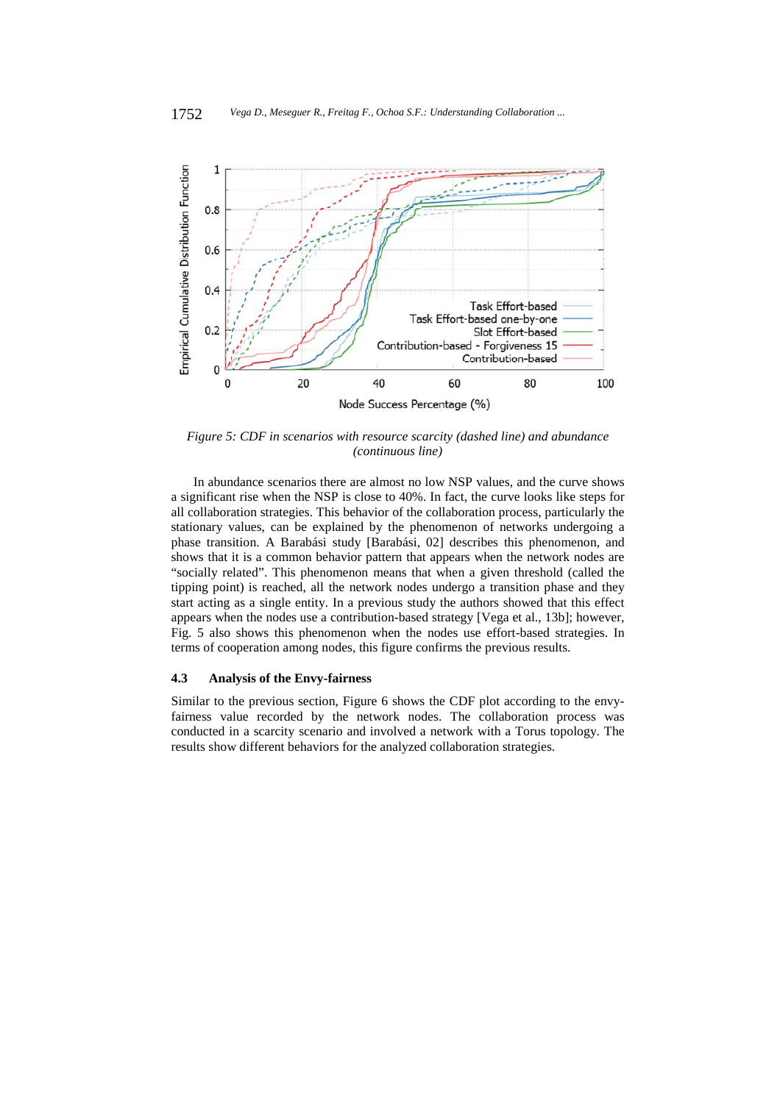

*Figure 5: CDF in scenarios with resource scarcity (dashed line) and abundance (continuous line)* 

In abundance scenarios there are almost no low NSP values, and the curve shows a significant rise when the NSP is close to 40%. In fact, the curve looks like steps for all collaboration strategies. This behavior of the collaboration process, particularly the stationary values, can be explained by the phenomenon of networks undergoing a phase transition. A Barabási study [Barabási, 02] describes this phenomenon, and shows that it is a common behavior pattern that appears when the network nodes are "socially related". This phenomenon means that when a given threshold (called the tipping point) is reached, all the network nodes undergo a transition phase and they start acting as a single entity. In a previous study the authors showed that this effect appears when the nodes use a contribution-based strategy [Vega et al., 13b]; however, Fig. 5 also shows this phenomenon when the nodes use effort-based strategies. In terms of cooperation among nodes, this figure confirms the previous results.

#### **4.3 Analysis of the Envy-fairness**

Similar to the previous section, Figure 6 shows the CDF plot according to the envyfairness value recorded by the network nodes. The collaboration process was conducted in a scarcity scenario and involved a network with a Torus topology. The results show different behaviors for the analyzed collaboration strategies.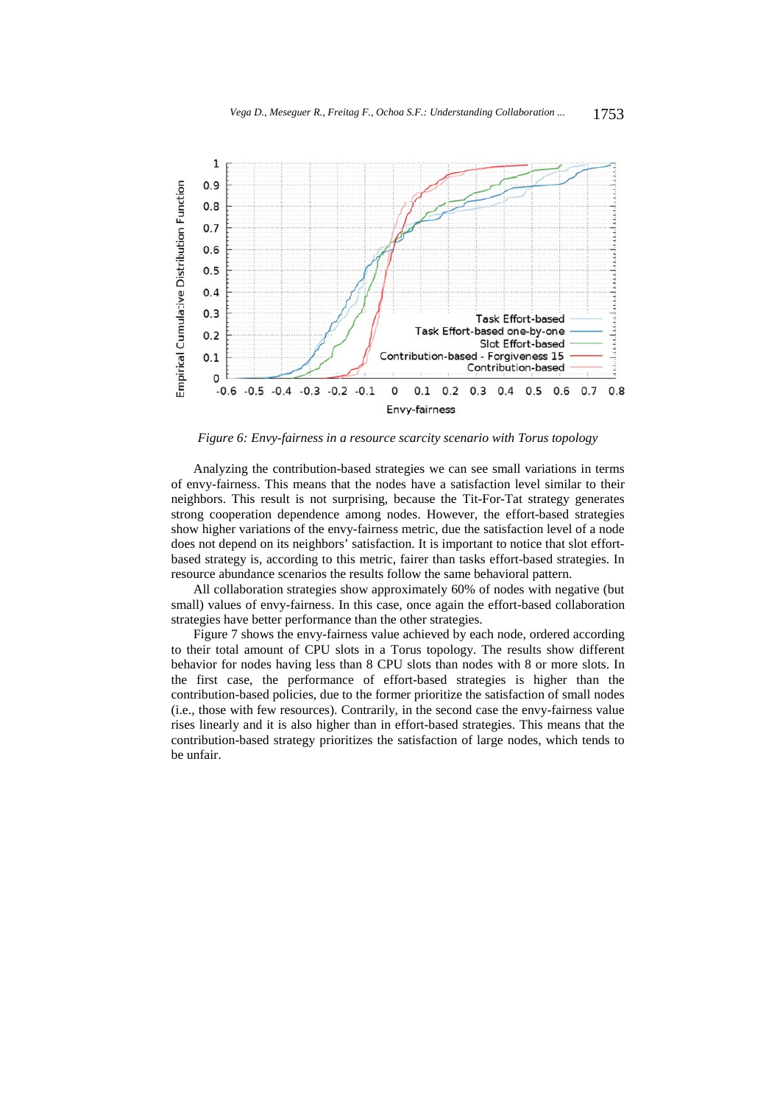

*Figure 6: Envy-fairness in a resource scarcity scenario with Torus topology* 

Analyzing the contribution-based strategies we can see small variations in terms of envy-fairness. This means that the nodes have a satisfaction level similar to their neighbors. This result is not surprising, because the Tit-For-Tat strategy generates strong cooperation dependence among nodes. However, the effort-based strategies show higher variations of the envy-fairness metric, due the satisfaction level of a node does not depend on its neighbors' satisfaction. It is important to notice that slot effortbased strategy is, according to this metric, fairer than tasks effort-based strategies. In resource abundance scenarios the results follow the same behavioral pattern.

All collaboration strategies show approximately 60% of nodes with negative (but small) values of envy-fairness. In this case, once again the effort-based collaboration strategies have better performance than the other strategies.

Figure 7 shows the envy-fairness value achieved by each node, ordered according to their total amount of CPU slots in a Torus topology. The results show different behavior for nodes having less than 8 CPU slots than nodes with 8 or more slots. In the first case, the performance of effort-based strategies is higher than the contribution-based policies, due to the former prioritize the satisfaction of small nodes (i.e., those with few resources). Contrarily, in the second case the envy-fairness value rises linearly and it is also higher than in effort-based strategies. This means that the contribution-based strategy prioritizes the satisfaction of large nodes, which tends to be unfair.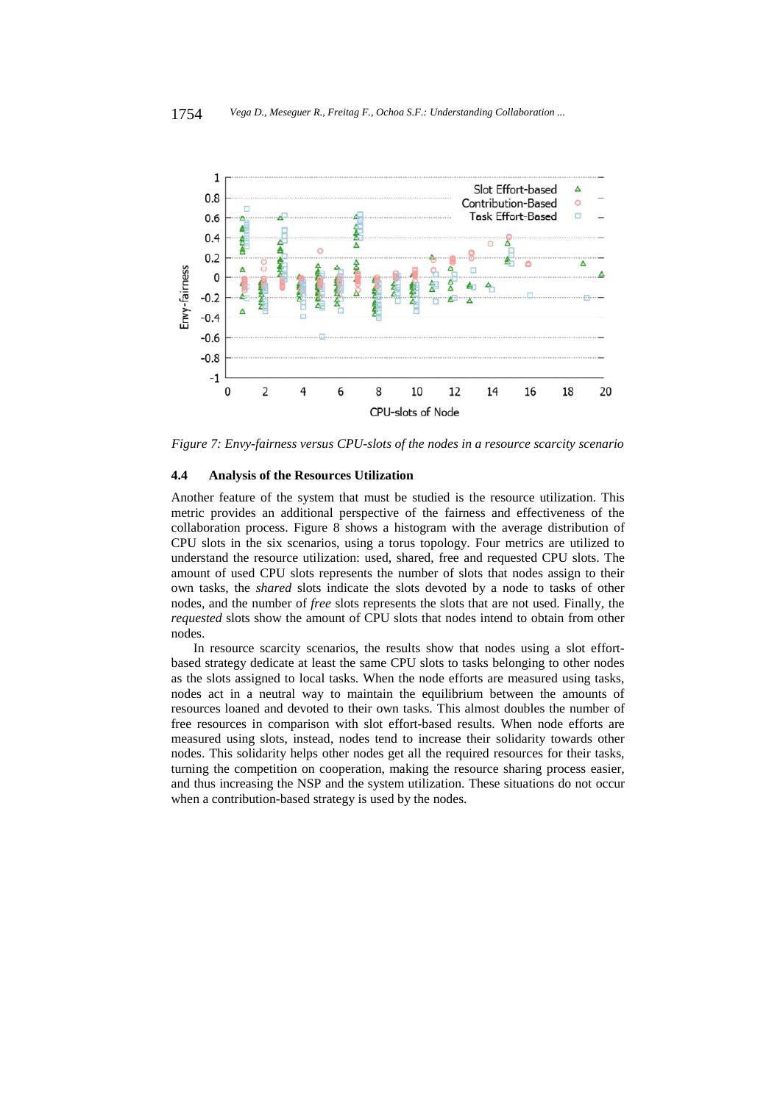

*Figure 7: Envy-fairness versus CPU-slots of the nodes in a resource scarcity scenario* 

#### **4.4 Analysis of the Resources Utilization**

Another feature of the system that must be studied is the resource utilization. This metric provides an additional perspective of the fairness and effectiveness of the collaboration process. Figure 8 shows a histogram with the average distribution of CPU slots in the six scenarios, using a torus topology. Four metrics are utilized to understand the resource utilization: used, shared, free and requested CPU slots. The amount of used CPU slots represents the number of slots that nodes assign to their own tasks, the *shared* slots indicate the slots devoted by a node to tasks of other nodes, and the number of *free* slots represents the slots that are not used. Finally, the *requested* slots show the amount of CPU slots that nodes intend to obtain from other nodes.

In resource scarcity scenarios, the results show that nodes using a slot effortbased strategy dedicate at least the same CPU slots to tasks belonging to other nodes as the slots assigned to local tasks. When the node efforts are measured using tasks, nodes act in a neutral way to maintain the equilibrium between the amounts of resources loaned and devoted to their own tasks. This almost doubles the number of free resources in comparison with slot effort-based results. When node efforts are measured using slots, instead, nodes tend to increase their solidarity towards other nodes. This solidarity helps other nodes get all the required resources for their tasks, turning the competition on cooperation, making the resource sharing process easier, and thus increasing the NSP and the system utilization. These situations do not occur when a contribution-based strategy is used by the nodes.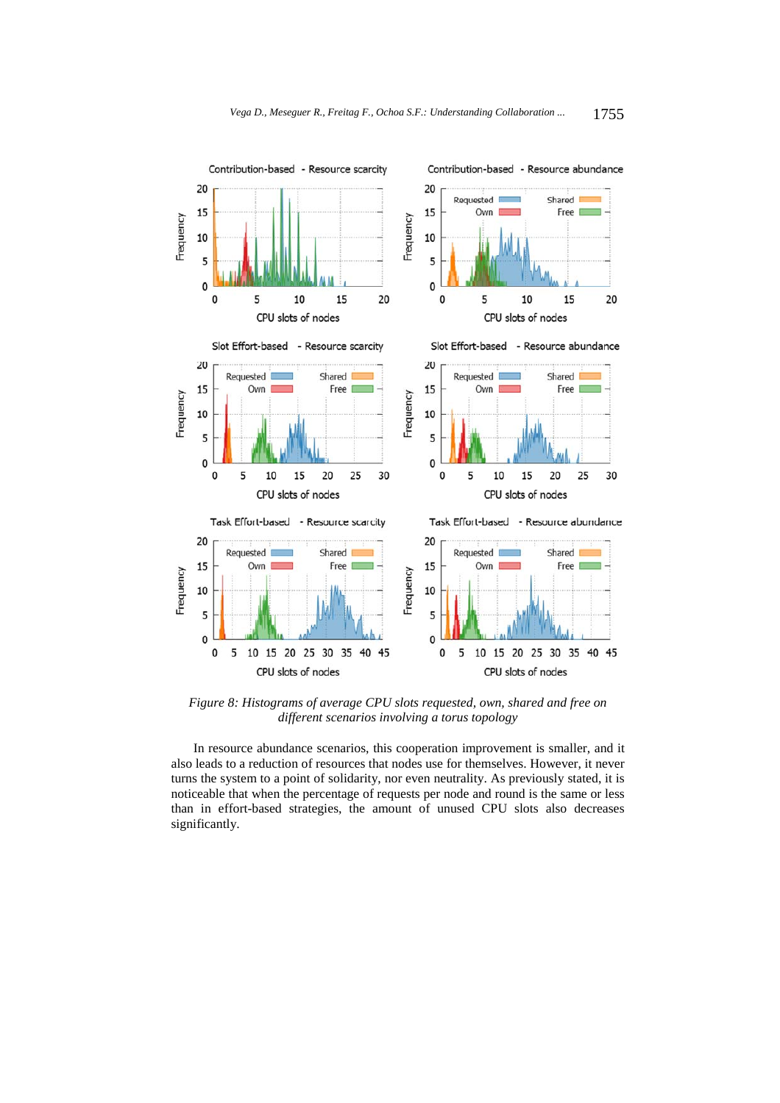

*Figure 8: Histograms of average CPU slots requested, own, shared and free on different scenarios involving a torus topology* 

In resource abundance scenarios, this cooperation improvement is smaller, and it also leads to a reduction of resources that nodes use for themselves. However, it never turns the system to a point of solidarity, nor even neutrality. As previously stated, it is noticeable that when the percentage of requests per node and round is the same or less than in effort-based strategies, the amount of unused CPU slots also decreases significantly.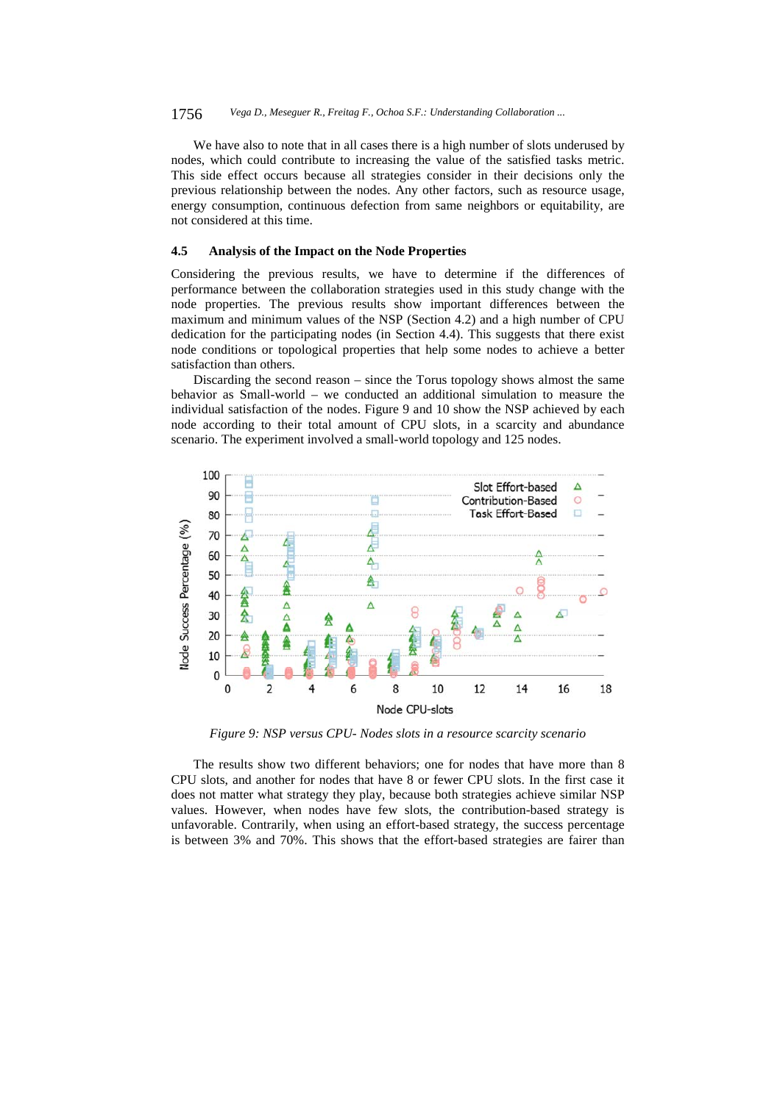We have also to note that in all cases there is a high number of slots underused by nodes, which could contribute to increasing the value of the satisfied tasks metric. This side effect occurs because all strategies consider in their decisions only the previous relationship between the nodes. Any other factors, such as resource usage, energy consumption, continuous defection from same neighbors or equitability, are not considered at this time.

# **4.5 Analysis of the Impact on the Node Properties**

Considering the previous results, we have to determine if the differences of performance between the collaboration strategies used in this study change with the node properties. The previous results show important differences between the maximum and minimum values of the NSP (Section 4.2) and a high number of CPU dedication for the participating nodes (in Section 4.4). This suggests that there exist node conditions or topological properties that help some nodes to achieve a better satisfaction than others.

Discarding the second reason – since the Torus topology shows almost the same behavior as Small-world – we conducted an additional simulation to measure the individual satisfaction of the nodes. Figure 9 and 10 show the NSP achieved by each node according to their total amount of CPU slots, in a scarcity and abundance scenario. The experiment involved a small-world topology and 125 nodes.



*Figure 9: NSP versus CPU- Nodes slots in a resource scarcity scenario* 

The results show two different behaviors; one for nodes that have more than 8 CPU slots, and another for nodes that have 8 or fewer CPU slots. In the first case it does not matter what strategy they play, because both strategies achieve similar NSP values. However, when nodes have few slots, the contribution-based strategy is unfavorable. Contrarily, when using an effort-based strategy, the success percentage is between 3% and 70%. This shows that the effort-based strategies are fairer than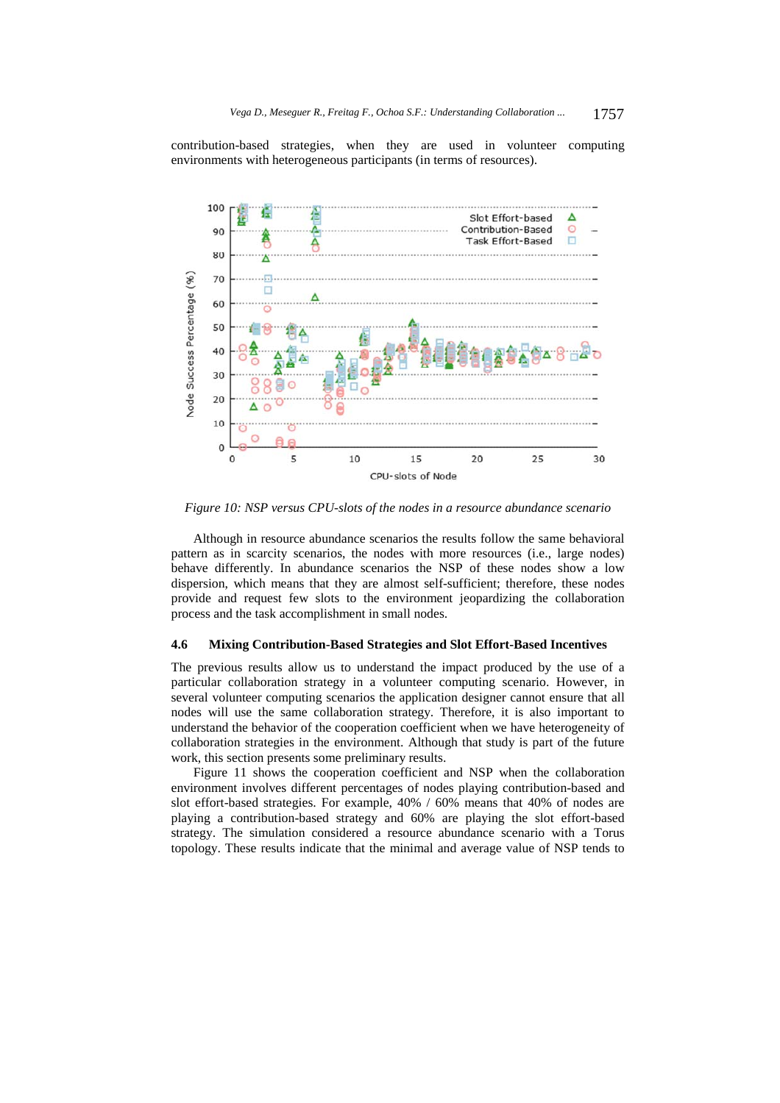contribution-based strategies, when they are used in volunteer computing environments with heterogeneous participants (in terms of resources).



*Figure 10: NSP versus CPU-slots of the nodes in a resource abundance scenario* 

Although in resource abundance scenarios the results follow the same behavioral pattern as in scarcity scenarios, the nodes with more resources (i.e., large nodes) behave differently. In abundance scenarios the NSP of these nodes show a low dispersion, which means that they are almost self-sufficient; therefore, these nodes provide and request few slots to the environment jeopardizing the collaboration process and the task accomplishment in small nodes.

#### **4.6 Mixing Contribution-Based Strategies and Slot Effort-Based Incentives**

The previous results allow us to understand the impact produced by the use of a particular collaboration strategy in a volunteer computing scenario. However, in several volunteer computing scenarios the application designer cannot ensure that all nodes will use the same collaboration strategy. Therefore, it is also important to understand the behavior of the cooperation coefficient when we have heterogeneity of collaboration strategies in the environment. Although that study is part of the future work, this section presents some preliminary results.

Figure 11 shows the cooperation coefficient and NSP when the collaboration environment involves different percentages of nodes playing contribution-based and slot effort-based strategies. For example, 40% / 60% means that 40% of nodes are playing a contribution-based strategy and 60% are playing the slot effort-based strategy. The simulation considered a resource abundance scenario with a Torus topology. These results indicate that the minimal and average value of NSP tends to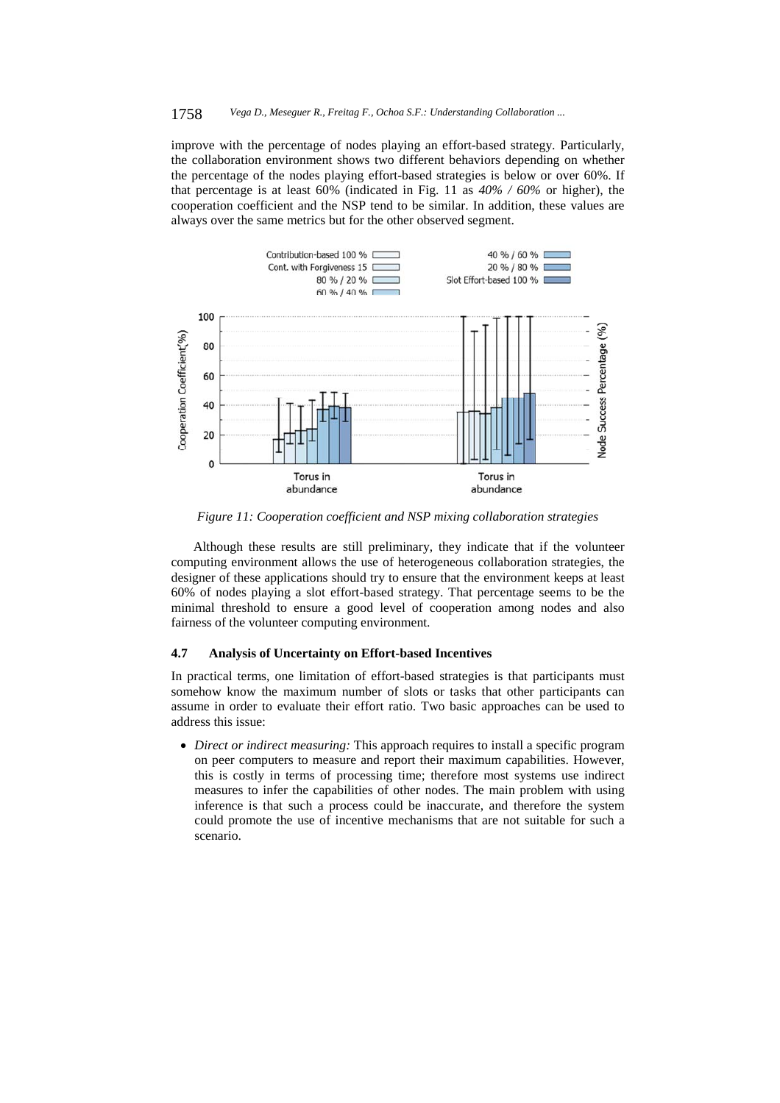improve with the percentage of nodes playing an effort-based strategy. Particularly, the collaboration environment shows two different behaviors depending on whether the percentage of the nodes playing effort-based strategies is below or over 60%. If that percentage is at least 60% (indicated in Fig. 11 as *40% / 60%* or higher), the cooperation coefficient and the NSP tend to be similar. In addition, these values are always over the same metrics but for the other observed segment.



*Figure 11: Cooperation coefficient and NSP mixing collaboration strategies* 

Although these results are still preliminary, they indicate that if the volunteer computing environment allows the use of heterogeneous collaboration strategies, the designer of these applications should try to ensure that the environment keeps at least 60% of nodes playing a slot effort-based strategy. That percentage seems to be the minimal threshold to ensure a good level of cooperation among nodes and also fairness of the volunteer computing environment.

# **4.7 Analysis of Uncertainty on Effort-based Incentives**

In practical terms, one limitation of effort-based strategies is that participants must somehow know the maximum number of slots or tasks that other participants can assume in order to evaluate their effort ratio. Two basic approaches can be used to address this issue:

 *Direct or indirect measuring:* This approach requires to install a specific program on peer computers to measure and report their maximum capabilities. However, this is costly in terms of processing time; therefore most systems use indirect measures to infer the capabilities of other nodes. The main problem with using inference is that such a process could be inaccurate, and therefore the system could promote the use of incentive mechanisms that are not suitable for such a scenario.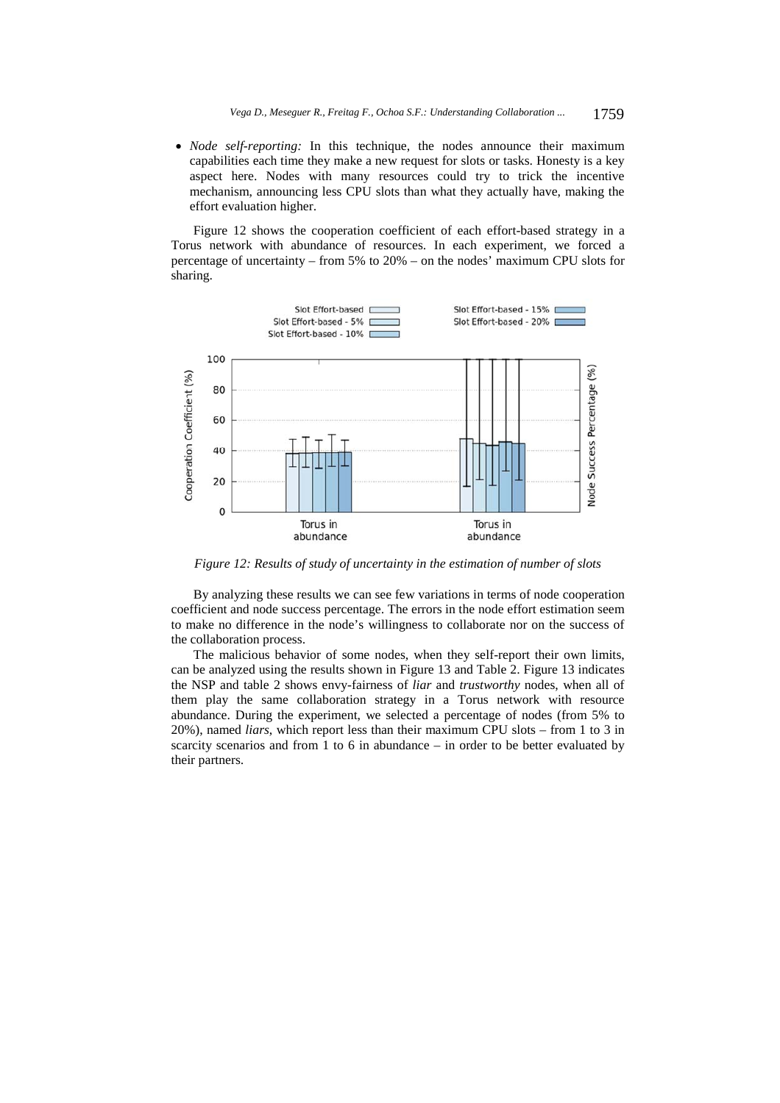*Node self-reporting:* In this technique, the nodes announce their maximum capabilities each time they make a new request for slots or tasks. Honesty is a key aspect here. Nodes with many resources could try to trick the incentive mechanism, announcing less CPU slots than what they actually have, making the effort evaluation higher.

Figure 12 shows the cooperation coefficient of each effort-based strategy in a Torus network with abundance of resources. In each experiment, we forced a percentage of uncertainty – from 5% to 20% – on the nodes' maximum CPU slots for sharing.



*Figure 12: Results of study of uncertainty in the estimation of number of slots* 

By analyzing these results we can see few variations in terms of node cooperation coefficient and node success percentage. The errors in the node effort estimation seem to make no difference in the node's willingness to collaborate nor on the success of the collaboration process.

The malicious behavior of some nodes, when they self-report their own limits, can be analyzed using the results shown in Figure 13 and Table 2. Figure 13 indicates the NSP and table 2 shows envy-fairness of *liar* and *trustworthy* nodes, when all of them play the same collaboration strategy in a Torus network with resource abundance. During the experiment, we selected a percentage of nodes (from 5% to 20%), named *liars*, which report less than their maximum CPU slots – from 1 to 3 in scarcity scenarios and from 1 to 6 in abundance – in order to be better evaluated by their partners.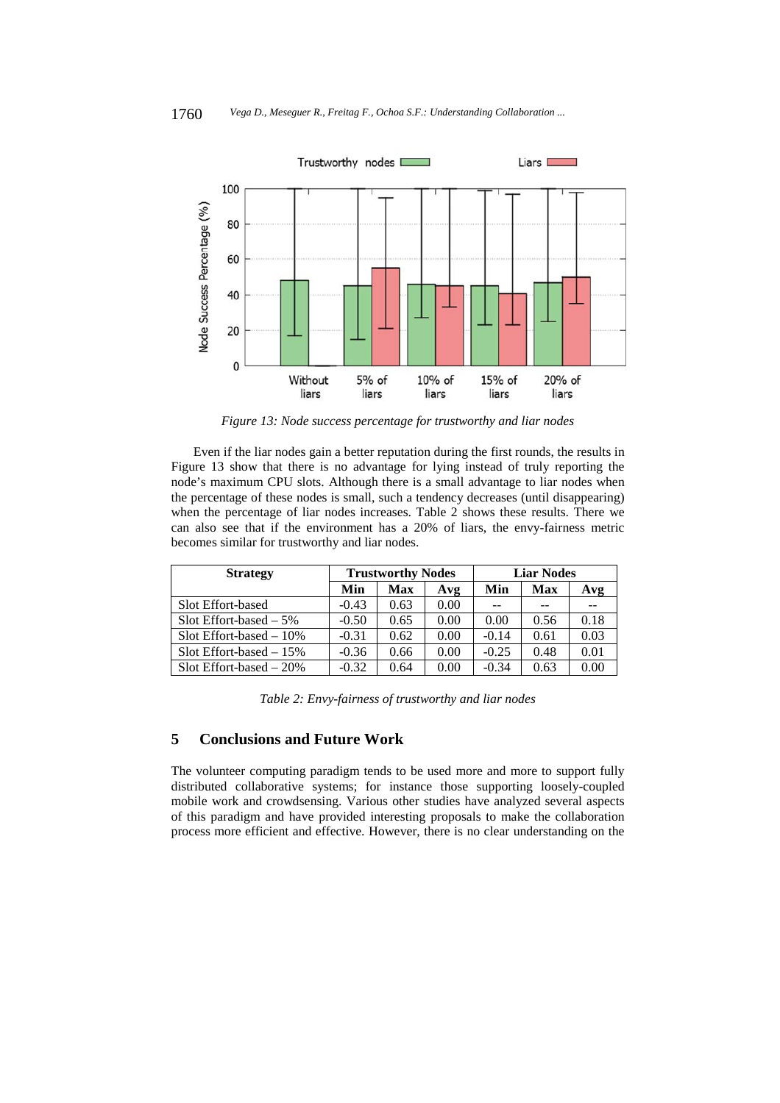

*Figure 13: Node success percentage for trustworthy and liar nodes* 

Even if the liar nodes gain a better reputation during the first rounds, the results in Figure 13 show that there is no advantage for lying instead of truly reporting the node's maximum CPU slots. Although there is a small advantage to liar nodes when the percentage of these nodes is small, such a tendency decreases (until disappearing) when the percentage of liar nodes increases. Table 2 shows these results. There we can also see that if the environment has a 20% of liars, the envy-fairness metric becomes similar for trustworthy and liar nodes.

| <b>Strategy</b>             | <b>Trustworthy Nodes</b> |      |      | <b>Liar Nodes</b> |      |      |
|-----------------------------|--------------------------|------|------|-------------------|------|------|
|                             | Min                      | Max  | Avg  | Min               | Max  | Avg  |
| Slot Effort-based           | $-0.43$                  | 0.63 | 0.00 |                   |      |      |
| Slot Effort-based $-5\%$    | $-0.50$                  | 0.65 | 0.00 | 0.00              | 0.56 | 0.18 |
| Slot Effort-based $-10\%$   | $-0.31$                  | 0.62 | 0.00 | $-0.14$           | 0.61 | 0.03 |
| Slot Effort-based $-15%$    | $-0.36$                  | 0.66 | 0.00 | $-0.25$           | 0.48 | 0.01 |
| $Slot$ Effort-based $-20\%$ | $-0.32$                  | 0.64 | 0.00 | $-0.34$           | 0.63 | 0.00 |

*Table 2: Envy-fairness of trustworthy and liar nodes* 

# **5 Conclusions and Future Work**

The volunteer computing paradigm tends to be used more and more to support fully distributed collaborative systems; for instance those supporting loosely-coupled mobile work and crowdsensing. Various other studies have analyzed several aspects of this paradigm and have provided interesting proposals to make the collaboration process more efficient and effective. However, there is no clear understanding on the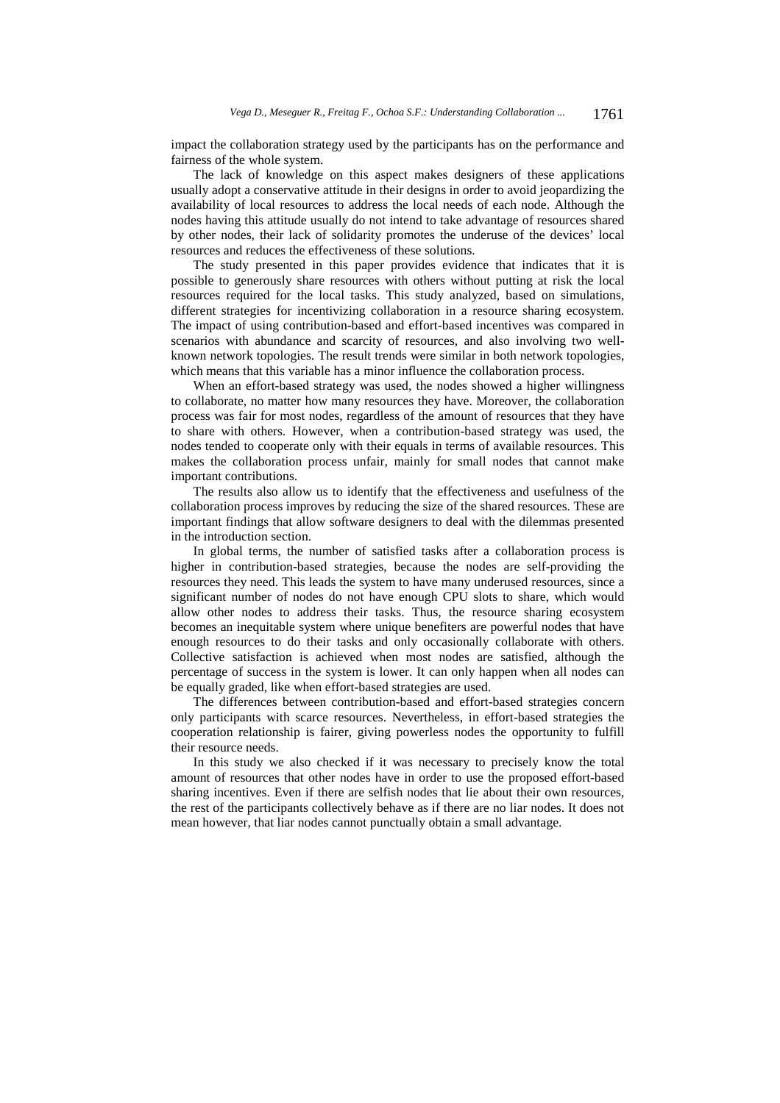impact the collaboration strategy used by the participants has on the performance and fairness of the whole system.

The lack of knowledge on this aspect makes designers of these applications usually adopt a conservative attitude in their designs in order to avoid jeopardizing the availability of local resources to address the local needs of each node. Although the nodes having this attitude usually do not intend to take advantage of resources shared by other nodes, their lack of solidarity promotes the underuse of the devices' local resources and reduces the effectiveness of these solutions.

The study presented in this paper provides evidence that indicates that it is possible to generously share resources with others without putting at risk the local resources required for the local tasks. This study analyzed, based on simulations, different strategies for incentivizing collaboration in a resource sharing ecosystem. The impact of using contribution-based and effort-based incentives was compared in scenarios with abundance and scarcity of resources, and also involving two wellknown network topologies. The result trends were similar in both network topologies, which means that this variable has a minor influence the collaboration process.

When an effort-based strategy was used, the nodes showed a higher willingness to collaborate, no matter how many resources they have. Moreover, the collaboration process was fair for most nodes, regardless of the amount of resources that they have to share with others. However, when a contribution-based strategy was used, the nodes tended to cooperate only with their equals in terms of available resources. This makes the collaboration process unfair, mainly for small nodes that cannot make important contributions.

The results also allow us to identify that the effectiveness and usefulness of the collaboration process improves by reducing the size of the shared resources. These are important findings that allow software designers to deal with the dilemmas presented in the introduction section.

In global terms, the number of satisfied tasks after a collaboration process is higher in contribution-based strategies, because the nodes are self-providing the resources they need. This leads the system to have many underused resources, since a significant number of nodes do not have enough CPU slots to share, which would allow other nodes to address their tasks. Thus, the resource sharing ecosystem becomes an inequitable system where unique benefiters are powerful nodes that have enough resources to do their tasks and only occasionally collaborate with others. Collective satisfaction is achieved when most nodes are satisfied, although the percentage of success in the system is lower. It can only happen when all nodes can be equally graded, like when effort-based strategies are used.

The differences between contribution-based and effort-based strategies concern only participants with scarce resources. Nevertheless, in effort-based strategies the cooperation relationship is fairer, giving powerless nodes the opportunity to fulfill their resource needs.

In this study we also checked if it was necessary to precisely know the total amount of resources that other nodes have in order to use the proposed effort-based sharing incentives. Even if there are selfish nodes that lie about their own resources, the rest of the participants collectively behave as if there are no liar nodes. It does not mean however, that liar nodes cannot punctually obtain a small advantage.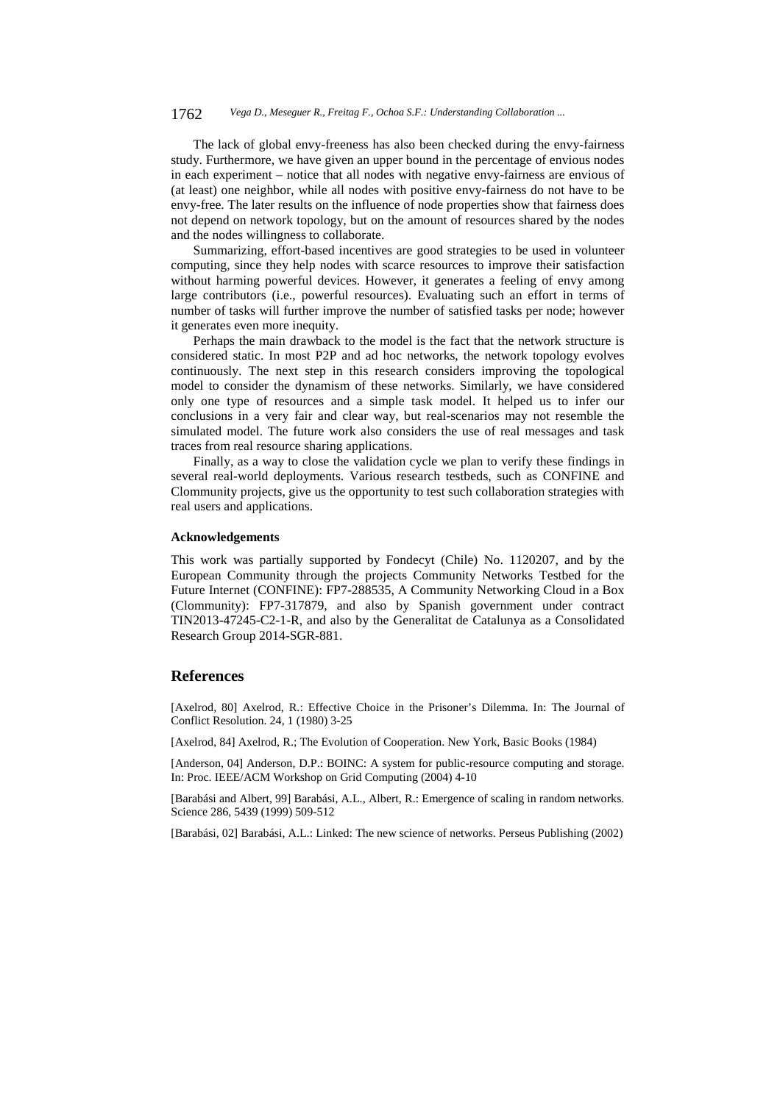#### 1762 *Vega D., Meseguer R., Freitag F., Ochoa S.F.: Understanding Collaboration ...*

The lack of global envy-freeness has also been checked during the envy-fairness study. Furthermore, we have given an upper bound in the percentage of envious nodes in each experiment – notice that all nodes with negative envy-fairness are envious of (at least) one neighbor, while all nodes with positive envy-fairness do not have to be envy-free. The later results on the influence of node properties show that fairness does not depend on network topology, but on the amount of resources shared by the nodes and the nodes willingness to collaborate.

Summarizing, effort-based incentives are good strategies to be used in volunteer computing, since they help nodes with scarce resources to improve their satisfaction without harming powerful devices. However, it generates a feeling of envy among large contributors (i.e., powerful resources). Evaluating such an effort in terms of number of tasks will further improve the number of satisfied tasks per node; however it generates even more inequity.

Perhaps the main drawback to the model is the fact that the network structure is considered static. In most P2P and ad hoc networks, the network topology evolves continuously. The next step in this research considers improving the topological model to consider the dynamism of these networks. Similarly, we have considered only one type of resources and a simple task model. It helped us to infer our conclusions in a very fair and clear way, but real-scenarios may not resemble the simulated model. The future work also considers the use of real messages and task traces from real resource sharing applications.

Finally, as a way to close the validation cycle we plan to verify these findings in several real-world deployments. Various research testbeds, such as CONFINE and Clommunity projects, give us the opportunity to test such collaboration strategies with real users and applications.

# **Acknowledgements**

This work was partially supported by Fondecyt (Chile) No. 1120207, and by the European Community through the projects Community Networks Testbed for the Future Internet (CONFINE): FP7-288535, A Community Networking Cloud in a Box (Clommunity): FP7-317879, and also by Spanish government under contract TIN2013-47245-C2-1-R, and also by the Generalitat de Catalunya as a Consolidated Research Group 2014-SGR-881.

# **References**

[Axelrod, 80] Axelrod, R.: Effective Choice in the Prisoner's Dilemma. In: The Journal of Conflict Resolution. 24, 1 (1980) 3-25

[Axelrod, 84] Axelrod, R.; The Evolution of Cooperation. New York, Basic Books (1984)

[Anderson, 04] Anderson, D.P.: BOINC: A system for public-resource computing and storage. In: Proc. IEEE/ACM Workshop on Grid Computing (2004) 4-10

[Barabási and Albert, 99] Barabási, A.L., Albert, R.: Emergence of scaling in random networks. Science 286, 5439 (1999) 509-512

[Barabási, 02] Barabási, A.L.: Linked: The new science of networks. Perseus Publishing (2002)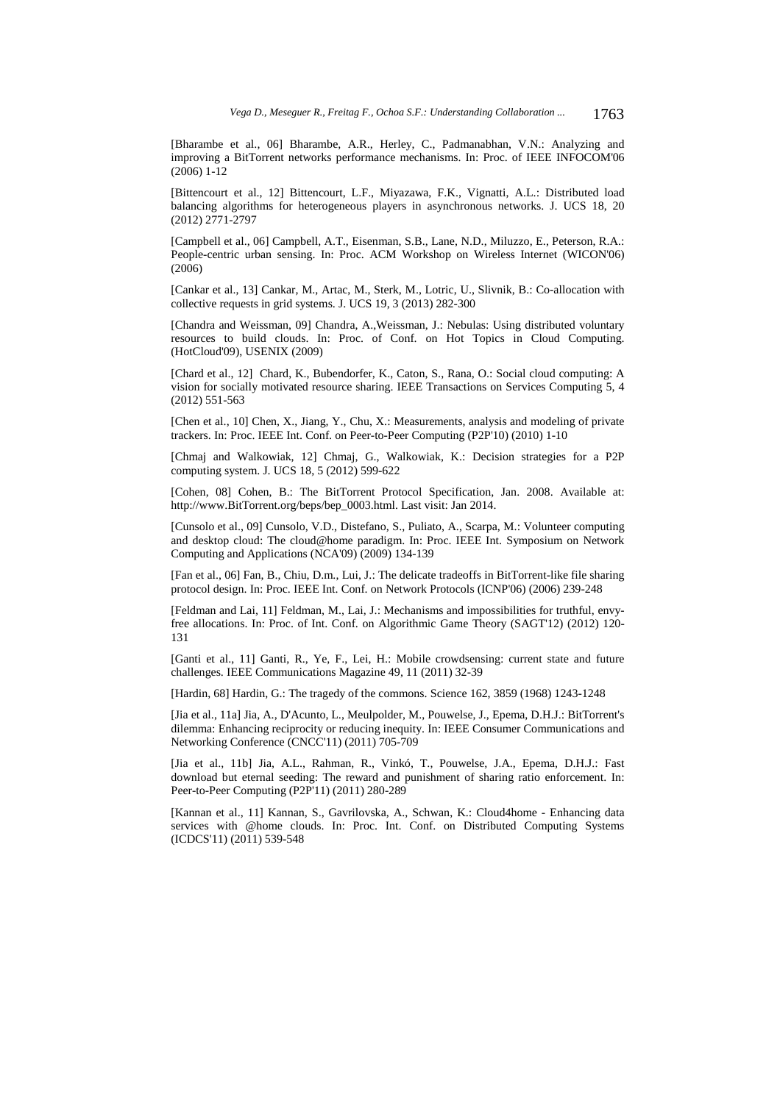[Bharambe et al., 06] Bharambe, A.R., Herley, C., Padmanabhan, V.N.: Analyzing and improving a BitTorrent networks performance mechanisms. In: Proc. of IEEE INFOCOM'06 (2006) 1-12

[Bittencourt et al., 12] Bittencourt, L.F., Miyazawa, F.K., Vignatti, A.L.: Distributed load balancing algorithms for heterogeneous players in asynchronous networks. J. UCS 18, 20 (2012) 2771-2797

[Campbell et al., 06] Campbell, A.T., Eisenman, S.B., Lane, N.D., Miluzzo, E., Peterson, R.A.: People-centric urban sensing. In: Proc. ACM Workshop on Wireless Internet (WICON'06) (2006)

[Cankar et al., 13] Cankar, M., Artac, M., Sterk, M., Lotric, U., Slivnik, B.: Co-allocation with collective requests in grid systems. J. UCS 19, 3 (2013) 282-300

[Chandra and Weissman, 09] Chandra, A.,Weissman, J.: Nebulas: Using distributed voluntary resources to build clouds. In: Proc. of Conf. on Hot Topics in Cloud Computing. (HotCloud'09), USENIX (2009)

[Chard et al., 12] Chard, K., Bubendorfer, K., Caton, S., Rana, O.: Social cloud computing: A vision for socially motivated resource sharing. IEEE Transactions on Services Computing 5, 4 (2012) 551-563

[Chen et al., 10] Chen, X., Jiang, Y., Chu, X.: Measurements, analysis and modeling of private trackers. In: Proc. IEEE Int. Conf. on Peer-to-Peer Computing (P2P'10) (2010) 1-10

[Chmaj and Walkowiak, 12] Chmaj, G., Walkowiak, K.: Decision strategies for a P2P computing system. J. UCS 18, 5 (2012) 599-622

[Cohen, 08] Cohen, B.: The BitTorrent Protocol Specification, Jan. 2008. Available at: http://www.BitTorrent.org/beps/bep\_0003.html. Last visit: Jan 2014.

[Cunsolo et al., 09] Cunsolo, V.D., Distefano, S., Puliato, A., Scarpa, M.: Volunteer computing and desktop cloud: The cloud@home paradigm. In: Proc. IEEE Int. Symposium on Network Computing and Applications (NCA'09) (2009) 134-139

[Fan et al., 06] Fan, B., Chiu, D.m., Lui, J.: The delicate tradeoffs in BitTorrent-like file sharing protocol design. In: Proc. IEEE Int. Conf. on Network Protocols (ICNP'06) (2006) 239-248

[Feldman and Lai, 11] Feldman, M., Lai, J.: Mechanisms and impossibilities for truthful, envyfree allocations. In: Proc. of Int. Conf. on Algorithmic Game Theory (SAGT'12) (2012) 120- 131

[Ganti et al., 11] Ganti, R., Ye, F., Lei, H.: Mobile crowdsensing: current state and future challenges. IEEE Communications Magazine 49, 11 (2011) 32-39

[Hardin, 68] Hardin, G.: The tragedy of the commons. Science 162, 3859 (1968) 1243-1248

[Jia et al., 11a] Jia, A., D'Acunto, L., Meulpolder, M., Pouwelse, J., Epema, D.H.J.: BitTorrent's dilemma: Enhancing reciprocity or reducing inequity. In: IEEE Consumer Communications and Networking Conference (CNCC'11) (2011) 705-709

[Jia et al., 11b] Jia, A.L., Rahman, R., Vinkó, T., Pouwelse, J.A., Epema, D.H.J.: Fast download but eternal seeding: The reward and punishment of sharing ratio enforcement. In: Peer-to-Peer Computing (P2P'11) (2011) 280-289

[Kannan et al., 11] Kannan, S., Gavrilovska, A., Schwan, K.: Cloud4home - Enhancing data services with @home clouds. In: Proc. Int. Conf. on Distributed Computing Systems (ICDCS'11) (2011) 539-548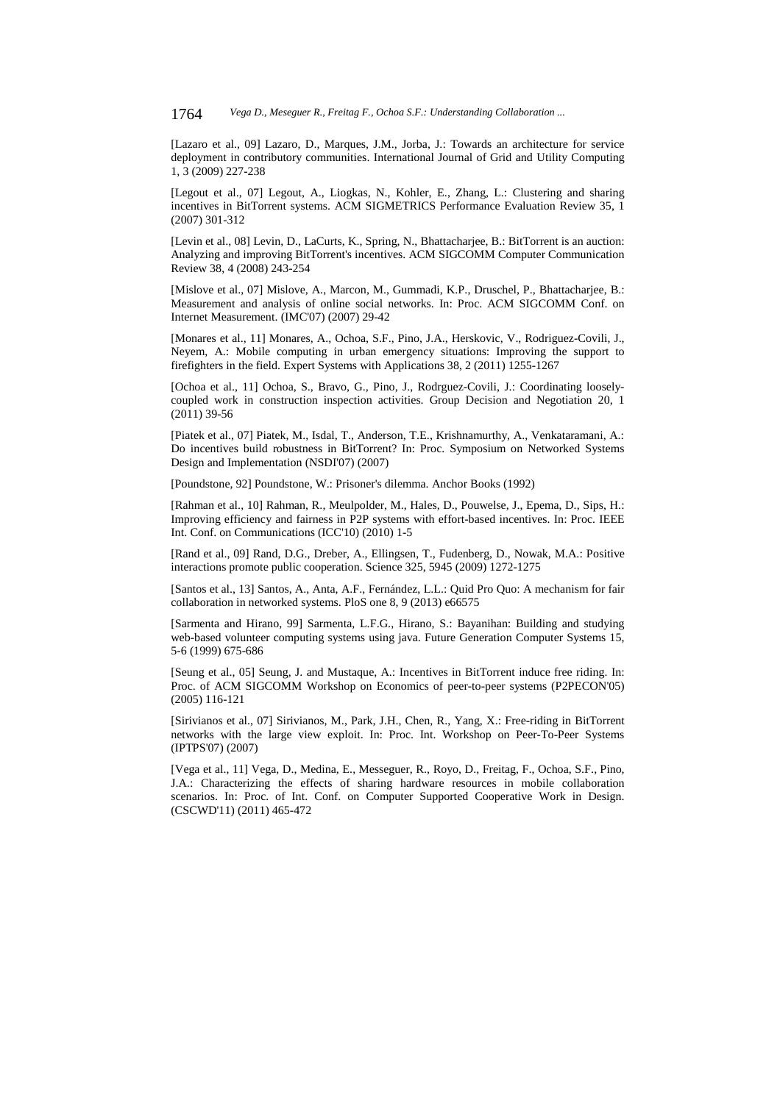[Lazaro et al., 09] Lazaro, D., Marques, J.M., Jorba, J.: Towards an architecture for service deployment in contributory communities. International Journal of Grid and Utility Computing 1, 3 (2009) 227-238

[Legout et al., 07] Legout, A., Liogkas, N., Kohler, E., Zhang, L.: Clustering and sharing incentives in BitTorrent systems. ACM SIGMETRICS Performance Evaluation Review 35, 1 (2007) 301-312

[Levin et al., 08] Levin, D., LaCurts, K., Spring, N., Bhattacharjee, B.: BitTorrent is an auction: Analyzing and improving BitTorrent's incentives. ACM SIGCOMM Computer Communication Review 38, 4 (2008) 243-254

[Mislove et al., 07] Mislove, A., Marcon, M., Gummadi, K.P., Druschel, P., Bhattacharjee, B.: Measurement and analysis of online social networks. In: Proc. ACM SIGCOMM Conf. on Internet Measurement. (IMC'07) (2007) 29-42

[Monares et al., 11] Monares, A., Ochoa, S.F., Pino, J.A., Herskovic, V., Rodriguez-Covili, J., Neyem, A.: Mobile computing in urban emergency situations: Improving the support to firefighters in the field. Expert Systems with Applications 38, 2 (2011) 1255-1267

[Ochoa et al., 11] Ochoa, S., Bravo, G., Pino, J., Rodrguez-Covili, J.: Coordinating looselycoupled work in construction inspection activities. Group Decision and Negotiation 20, 1 (2011) 39-56

[Piatek et al., 07] Piatek, M., Isdal, T., Anderson, T.E., Krishnamurthy, A., Venkataramani, A.: Do incentives build robustness in BitTorrent? In: Proc. Symposium on Networked Systems Design and Implementation (NSDI'07) (2007)

[Poundstone, 92] Poundstone, W.: Prisoner's dilemma. Anchor Books (1992)

[Rahman et al., 10] Rahman, R., Meulpolder, M., Hales, D., Pouwelse, J., Epema, D., Sips, H.: Improving efficiency and fairness in P2P systems with effort-based incentives. In: Proc. IEEE Int. Conf. on Communications (ICC'10) (2010) 1-5

[Rand et al., 09] Rand, D.G., Dreber, A., Ellingsen, T., Fudenberg, D., Nowak, M.A.: Positive interactions promote public cooperation. Science 325, 5945 (2009) 1272-1275

[Santos et al., 13] Santos, A., Anta, A.F., Fernández, L.L.: Quid Pro Quo: A mechanism for fair collaboration in networked systems. PloS one 8, 9 (2013) e66575

[Sarmenta and Hirano, 99] Sarmenta, L.F.G., Hirano, S.: Bayanihan: Building and studying web-based volunteer computing systems using java. Future Generation Computer Systems 15, 5-6 (1999) 675-686

[Seung et al., 05] Seung, J. and Mustaque, A.: Incentives in BitTorrent induce free riding. In: Proc. of ACM SIGCOMM Workshop on Economics of peer-to-peer systems (P2PECON'05) (2005) 116-121

[Sirivianos et al., 07] Sirivianos, M., Park, J.H., Chen, R., Yang, X.: Free-riding in BitTorrent networks with the large view exploit. In: Proc. Int. Workshop on Peer-To-Peer Systems (IPTPS'07) (2007)

[Vega et al., 11] Vega, D., Medina, E., Messeguer, R., Royo, D., Freitag, F., Ochoa, S.F., Pino, J.A.: Characterizing the effects of sharing hardware resources in mobile collaboration scenarios. In: Proc. of Int. Conf. on Computer Supported Cooperative Work in Design. (CSCWD'11) (2011) 465-472